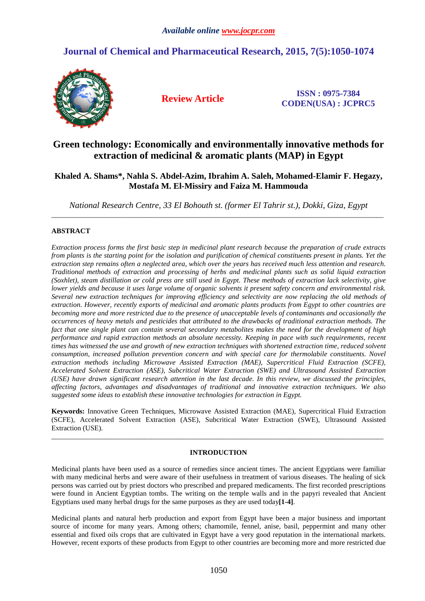# **Journal of Chemical and Pharmaceutical Research, 2015, 7(5):1050-1074**



**Review Article ISSN : 0975-7384 CODEN(USA) : JCPRC5**

# **Green technology: Economically and environmentally innovative methods for extraction of medicinal & aromatic plants (MAP) in Egypt**

# **Khaled A. Shams\*, Nahla S. Abdel-Azim, Ibrahim A. Saleh, Mohamed-Elamir F. Hegazy, Mostafa M. El-Missiry and Faiza M. Hammouda**

*National Research Centre, 33 El Bohouth st. (former El Tahrir st.), Dokki, Giza, Egypt*  \_\_\_\_\_\_\_\_\_\_\_\_\_\_\_\_\_\_\_\_\_\_\_\_\_\_\_\_\_\_\_\_\_\_\_\_\_\_\_\_\_\_\_\_\_\_\_\_\_\_\_\_\_\_\_\_\_\_\_\_\_\_\_\_\_\_\_\_\_\_\_\_\_\_\_\_\_\_\_\_\_\_\_\_\_\_\_\_\_\_\_\_\_

# **ABSTRACT**

*Extraction process forms the first basic step in medicinal plant research because the preparation of crude extracts from plants is the starting point for the isolation and purification of chemical constituents present in plants. Yet the extraction step remains often a neglected area, which over the years has received much less attention and research. Traditional methods of extraction and processing of herbs and medicinal plants such as solid liquid extraction (Soxhlet), steam distillation or cold press are still used in Egypt. These methods of extraction lack selectivity, give lower yields and because it uses large volume of organic solvents it present safety concern and environmental risk. Several new extraction techniques for improving efficiency and selectivity are now replacing the old methods of extraction. However, recently exports of medicinal and aromatic plants products from Egypt to other countries are becoming more and more restricted due to the presence of unacceptable levels of contaminants and occasionally the occurrences of heavy metals and pesticides that attributed to the drawbacks of traditional extraction methods. The fact that one single plant can contain several secondary metabolites makes the need for the development of high performance and rapid extraction methods an absolute necessity. Keeping in pace with such requirements, recent times has witnessed the use and growth of new extraction techniques with shortened extraction time, reduced solvent consumption, increased pollution prevention concern and with special care for thermolabile constituents. Novel extraction methods including Microwave Assisted Extraction (MAE), Supercritical Fluid Extraction (SCFE), Accelerated Solvent Extraction (ASE), Subcritical Water Extraction (SWE) and Ultrasound Assisted Extraction (USE) have drawn significant research attention in the last decade. In this review, we discussed the principles, affecting factors, advantages and disadvantages of traditional and innovative extraction techniques. We also suggested some ideas to establish these innovative technologies for extraction in Egypt.* 

**Keywords:** Innovative Green Techniques, Microwave Assisted Extraction (MAE), Supercritical Fluid Extraction (SCFE), Accelerated Solvent Extraction (ASE), Subcritical Water Extraction (SWE), Ultrasound Assisted Extraction (USE).

# **INTRODUCTION**

\_\_\_\_\_\_\_\_\_\_\_\_\_\_\_\_\_\_\_\_\_\_\_\_\_\_\_\_\_\_\_\_\_\_\_\_\_\_\_\_\_\_\_\_\_\_\_\_\_\_\_\_\_\_\_\_\_\_\_\_\_\_\_\_\_\_\_\_\_\_\_\_\_\_\_\_\_\_\_\_\_\_\_\_\_\_\_\_\_\_\_\_\_

Medicinal plants have been used as a source of remedies since ancient times. The ancient Egyptians were familiar with many medicinal herbs and were aware of their usefulness in treatment of various diseases. The healing of sick persons was carried out by priest doctors who prescribed and prepared medicaments. The first recorded prescriptions were found in Ancient Egyptian tombs. The writing on the temple walls and in the papyri revealed that Ancient Egyptians used many herbal drugs for the same purposes as they are used today**[1-4]**.

Medicinal plants and natural herb production and export from Egypt have been a major business and important source of income for many years. Among others; chamomile, fennel, anise, basil, peppermint and many other essential and fixed oils crops that are cultivated in Egypt have a very good reputation in the international markets. However, recent exports of these products from Egypt to other countries are becoming more and more restricted due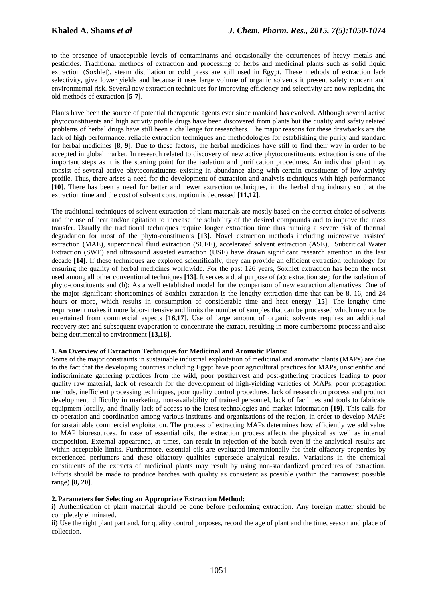to the presence of unacceptable levels of contaminants and occasionally the occurrences of heavy metals and pesticides. Traditional methods of extraction and processing of herbs and medicinal plants such as solid liquid extraction (Soxhlet), steam distillation or cold press are still used in Egypt. These methods of extraction lack selectivity, give lower yields and because it uses large volume of organic solvents it present safety concern and environmental risk. Several new extraction techniques for improving efficiency and selectivity are now replacing the old methods of extraction **[5-7]**.

*\_\_\_\_\_\_\_\_\_\_\_\_\_\_\_\_\_\_\_\_\_\_\_\_\_\_\_\_\_\_\_\_\_\_\_\_\_\_\_\_\_\_\_\_\_\_\_\_\_\_\_\_\_\_\_\_\_\_\_\_\_\_\_\_\_\_\_\_\_\_\_\_\_\_\_\_\_\_*

Plants have been the source of potential therapeutic agents ever since mankind has evolved. Although several active phytoconstituents and high activity profile drugs have been discovered from plants but the quality and safety related problems of herbal drugs have still been a challenge for researchers. The major reasons for these drawbacks are the lack of high performance, reliable extraction techniques and methodologies for establishing the purity and standard for herbal medicines **[8, 9]**. Due to these factors, the herbal medicines have still to find their way in order to be accepted in global market. In research related to discovery of new active phytoconstituents, extraction is one of the important steps as it is the starting point for the isolation and purification procedures. An individual plant may consist of several active phytoconstituents existing in abundance along with certain constituents of low activity profile. Thus, there arises a need for the development of extraction and analysis techniques with high performance [**10**]. There has been a need for better and newer extraction techniques, in the herbal drug industry so that the extraction time and the cost of solvent consumption is decreased **[11,12]**.

The traditional techniques of solvent extraction of plant materials are mostly based on the correct choice of solvents and the use of heat and/or agitation to increase the solubility of the desired compounds and to improve the mass transfer. Usually the traditional techniques require longer extraction time thus running a severe risk of thermal degradation for most of the phyto-constituents **[13]**. Novel extraction methods including microwave assisted extraction (MAE), supercritical fluid extraction (SCFE), accelerated solvent extraction (ASE), Subcritical Water Extraction (SWE) and ultrasound assisted extraction (USE) have drawn significant research attention in the last decade **[14]**. If these techniques are explored scientifically, they can provide an efficient extraction technology for ensuring the quality of herbal medicines worldwide. For the past 126 years, Soxhlet extraction has been the most used among all other conventional techniques **[13]**. It serves a dual purpose of (a): extraction step for the isolation of phyto-constituents and (b): As a well established model for the comparison of new extraction alternatives. One of the major significant shortcomings of Soxhlet extraction is the lengthy extraction time that can be 8, 16, and 24 hours or more, which results in consumption of considerable time and heat energy [**15**]. The lengthy time requirement makes it more labor-intensive and limits the number of samples that can be processed which may not be entertained from commercial aspects [**16,17**]. Use of large amount of organic solvents requires an additional recovery step and subsequent evaporation to concentrate the extract, resulting in more cumbersome process and also being detrimental to environment **[13,18]**.

# **1. An Overview of Extraction Techniques for Medicinal and Aromatic Plants:**

Some of the major constraints in sustainable industrial exploitation of medicinal and aromatic plants (MAPs) are due to the fact that the developing countries including Egypt have poor agricultural practices for MAPs, unscientific and indiscriminate gathering practices from the wild, poor postharvest and post-gathering practices leading to poor quality raw material, lack of research for the development of high-yielding varieties of MAPs, poor propagation methods, inefficient processing techniques, poor quality control procedures, lack of research on process and product development, difficulty in marketing, non-availability of trained personnel, lack of facilities and tools to fabricate equipment locally, and finally lack of access to the latest technologies and market information **[19]**. This calls for co-operation and coordination among various institutes and organizations of the region, in order to develop MAPs for sustainable commercial exploitation. The process of extracting MAPs determines how efficiently we add value to MAP bioresources. In case of essential oils, the extraction process affects the physical as well as internal composition. External appearance, at times, can result in rejection of the batch even if the analytical results are within acceptable limits. Furthermore, essential oils are evaluated internationally for their olfactory properties by experienced perfumers and these olfactory qualities supersede analytical results. Variations in the chemical constituents of the extracts of medicinal plants may result by using non-standardized procedures of extraction. Efforts should be made to produce batches with quality as consistent as possible (within the narrowest possible range) **[8, 20]**.

#### **2.Parameters for Selecting an Appropriate Extraction Method:**

**i)** Authentication of plant material should be done before performing extraction. Any foreign matter should be completely eliminated.

**ii**) Use the right plant part and, for quality control purposes, record the age of plant and the time, season and place of collection.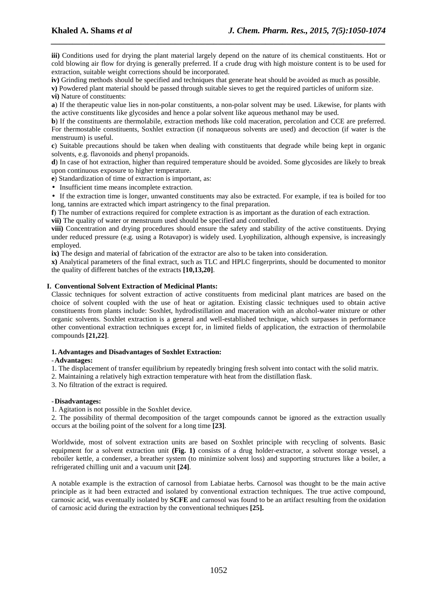**iii)** Conditions used for drying the plant material largely depend on the nature of its chemical constituents. Hot or cold blowing air flow for drying is generally preferred. If a crude drug with high moisture content is to be used for extraction, suitable weight corrections should be incorporated.

*\_\_\_\_\_\_\_\_\_\_\_\_\_\_\_\_\_\_\_\_\_\_\_\_\_\_\_\_\_\_\_\_\_\_\_\_\_\_\_\_\_\_\_\_\_\_\_\_\_\_\_\_\_\_\_\_\_\_\_\_\_\_\_\_\_\_\_\_\_\_\_\_\_\_\_\_\_\_*

**iv)** Grinding methods should be specified and techniques that generate heat should be avoided as much as possible.

**v)** Powdered plant material should be passed through suitable sieves to get the required particles of uniform size.

**vi)** Nature of constituents:

**a**) If the therapeutic value lies in non-polar constituents, a non-polar solvent may be used. Likewise, for plants with the active constituents like glycosides and hence a polar solvent like aqueous methanol may be used.

**b**) If the constituents are thermolabile, extraction methods like cold maceration, percolation and CCE are preferred. For thermostable constituents, Soxhlet extraction (if nonaqueous solvents are used) and decoction (if water is the menstruum) is useful.

**c**) Suitable precautions should be taken when dealing with constituents that degrade while being kept in organic solvents, e.g. flavonoids and phenyl propanoids.

**d**) In case of hot extraction, higher than required temperature should be avoided. Some glycosides are likely to break upon continuous exposure to higher temperature.

**e**) Standardization of time of extraction is important, as:

• Insufficient time means incomplete extraction.

• If the extraction time is longer, unwanted constituents may also be extracted. For example, if tea is boiled for too long, tannins are extracted which impart astringency to the final preparation.

**f**) The number of extractions required for complete extraction is as important as the duration of each extraction.

**vii)** The quality of water or menstruum used should be specified and controlled.

**viii)** Concentration and drying procedures should ensure the safety and stability of the active constituents. Drying under reduced pressure (e.g. using a Rotavapor) is widely used. Lyophilization, although expensive, is increasingly employed.

**ix)** The design and material of fabrication of the extractor are also to be taken into consideration.

**x)** Analytical parameters of the final extract, such as TLC and HPLC fingerprints, should be documented to monitor the quality of different batches of the extracts **[10,13,20]**.

# **I. Conventional Solvent Extraction of Medicinal Plants:**

Classic techniques for solvent extraction of active constituents from medicinal plant matrices are based on the choice of solvent coupled with the use of heat or agitation. Existing classic techniques used to obtain active constituents from plants include: Soxhlet, hydrodistillation and maceration with an alcohol-water mixture or other organic solvents. Soxhlet extraction is a general and well-established technique, which surpasses in performance other conventional extraction techniques except for, in limited fields of application, the extraction of thermolabile compounds **[21,22]**.

# **1. Advantages and Disadvantages of Soxhlet Extraction:**

# -**Advantages:**

1. The displacement of transfer equilibrium by repeatedly bringing fresh solvent into contact with the solid matrix.

- 2. Maintaining a relatively high extraction temperature with heat from the distillation flask.
- 3. No filtration of the extract is required.

# -**Disadvantages:**

1. Agitation is not possible in the Soxhlet device.

2. The possibility of thermal decomposition of the target compounds cannot be ignored as the extraction usually occurs at the boiling point of the solvent for a long time **[23]**.

Worldwide, most of solvent extraction units are based on Soxhlet principle with recycling of solvents. Basic equipment for a solvent extraction unit **(Fig. 1)** consists of a drug holder-extractor, a solvent storage vessel, a reboiler kettle, a condenser, a breather system (to minimize solvent loss) and supporting structures like a boiler, a refrigerated chilling unit and a vacuum unit **[24]**.

A notable example is the extraction of carnosol from Labiatae herbs. Carnosol was thought to be the main active principle as it had been extracted and isolated by conventional extraction techniques. The true active compound, carnosic acid, was eventually isolated by **SCFE** and carnosol was found to be an artifact resulting from the oxidation of carnosic acid during the extraction by the conventional techniques **[25].**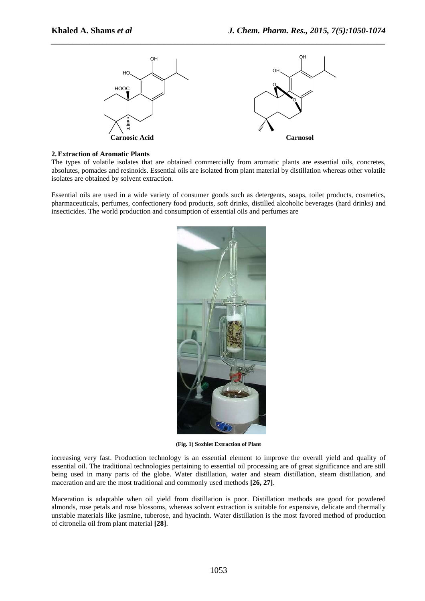

*\_\_\_\_\_\_\_\_\_\_\_\_\_\_\_\_\_\_\_\_\_\_\_\_\_\_\_\_\_\_\_\_\_\_\_\_\_\_\_\_\_\_\_\_\_\_\_\_\_\_\_\_\_\_\_\_\_\_\_\_\_\_\_\_\_\_\_\_\_\_\_\_\_\_\_\_\_\_*

#### **2.Extraction of Aromatic Plants**

The types of volatile isolates that are obtained commercially from aromatic plants are essential oils, concretes, absolutes, pomades and resinoids. Essential oils are isolated from plant material by distillation whereas other volatile isolates are obtained by solvent extraction.

Essential oils are used in a wide variety of consumer goods such as detergents, soaps, toilet products, cosmetics, pharmaceuticals, perfumes, confectionery food products, soft drinks, distilled alcoholic beverages (hard drinks) and insecticides. The world production and consumption of essential oils and perfumes are



**(Fig. 1) Soxhlet Extraction of Plant** 

increasing very fast. Production technology is an essential element to improve the overall yield and quality of essential oil. The traditional technologies pertaining to essential oil processing are of great significance and are still being used in many parts of the globe. Water distillation, water and steam distillation, steam distillation, and maceration and are the most traditional and commonly used methods **[26, 27]**.

Maceration is adaptable when oil yield from distillation is poor. Distillation methods are good for powdered almonds, rose petals and rose blossoms, whereas solvent extraction is suitable for expensive, delicate and thermally unstable materials like jasmine, tuberose, and hyacinth. Water distillation is the most favored method of production of citronella oil from plant material **[28]**.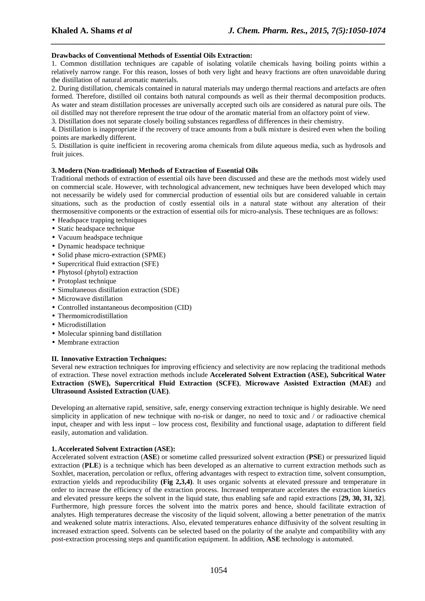# **Drawbacks of Conventional Methods of Essential Oils Extraction:**

1. Common distillation techniques are capable of isolating volatile chemicals having boiling points within a relatively narrow range. For this reason, losses of both very light and heavy fractions are often unavoidable during the distillation of natural aromatic materials.

*\_\_\_\_\_\_\_\_\_\_\_\_\_\_\_\_\_\_\_\_\_\_\_\_\_\_\_\_\_\_\_\_\_\_\_\_\_\_\_\_\_\_\_\_\_\_\_\_\_\_\_\_\_\_\_\_\_\_\_\_\_\_\_\_\_\_\_\_\_\_\_\_\_\_\_\_\_\_*

2. During distillation, chemicals contained in natural materials may undergo thermal reactions and artefacts are often formed. Therefore, distilled oil contains both natural compounds as well as their thermal decomposition products. As water and steam distillation processes are universally accepted such oils are considered as natural pure oils. The oil distilled may not therefore represent the true odour of the aromatic material from an olfactory point of view.

3. Distillation does not separate closely boiling substances regardless of differences in their chemistry.

4. Distillation is inappropriate if the recovery of trace amounts from a bulk mixture is desired even when the boiling points are markedly different.

5. Distillation is quite inefficient in recovering aroma chemicals from dilute aqueous media, such as hydrosols and fruit juices.

# **3.Modern (Non-traditional) Methods of Extraction of Essential Oils**

Traditional methods of extraction of essential oils have been discussed and these are the methods most widely used on commercial scale. However, with technological advancement, new techniques have been developed which may not necessarily be widely used for commercial production of essential oils but are considered valuable in certain situations, such as the production of costly essential oils in a natural state without any alteration of their thermosensitive components or the extraction of essential oils for micro-analysis. These techniques are as follows:

- Headspace trapping techniques
- Static headspace technique
- Vacuum headspace technique
- Dynamic headspace technique
- Solid phase micro-extraction (SPME)
- Supercritical fluid extraction (SFE)
- Phytosol (phytol) extraction
- Protoplast technique
- Simultaneous distillation extraction (SDE)
- Microwave distillation
- Controlled instantaneous decomposition (CID)
- Thermomicrodistillation
- Microdistillation
- Molecular spinning band distillation
- Membrane extraction

# **II. Innovative Extraction Techniques:**

Several new extraction techniques for improving efficiency and selectivity are now replacing the traditional methods of extraction. These novel extraction methods include **Accelerated Solvent Extraction (ASE), Subcritical Water Extraction (SWE), Supercritical Fluid Extraction (SCFE)**, **Microwave Assisted Extraction (MAE)** and **Ultrasound Assisted Extraction (UAE)**.

Developing an alternative rapid, sensitive, safe, energy conserving extraction technique is highly desirable. We need simplicity in application of new technique with no-risk or danger, no need to toxic and / or radioactive chemical input, cheaper and with less input – low process cost, flexibility and functional usage, adaptation to different field easily, automation and validation.

# **1. Accelerated Solvent Extraction (ASE):**

Accelerated solvent extraction (**ASE**) or sometime called pressurized solvent extraction (**PSE**) or pressurized liquid extraction (**PLE**) is a technique which has been developed as an alternative to current extraction methods such as Soxhlet, maceration, percolation or reflux, offering advantages with respect to extraction time, solvent consumption, extraction yields and reproducibility **(Fig 2,3,4)**. It uses organic solvents at elevated pressure and temperature in order to increase the efficiency of the extraction process. Increased temperature accelerates the extraction kinetics and elevated pressure keeps the solvent in the liquid state, thus enabling safe and rapid extractions [**29, 30, 31, 32**]. Furthermore, high pressure forces the solvent into the matrix pores and hence, should facilitate extraction of analytes. High temperatures decrease the viscosity of the liquid solvent, allowing a better penetration of the matrix and weakened solute matrix interactions. Also, elevated temperatures enhance diffusivity of the solvent resulting in increased extraction speed. Solvents can be selected based on the polarity of the analyte and compatibility with any post-extraction processing steps and quantification equipment. In addition, **ASE** technology is automated.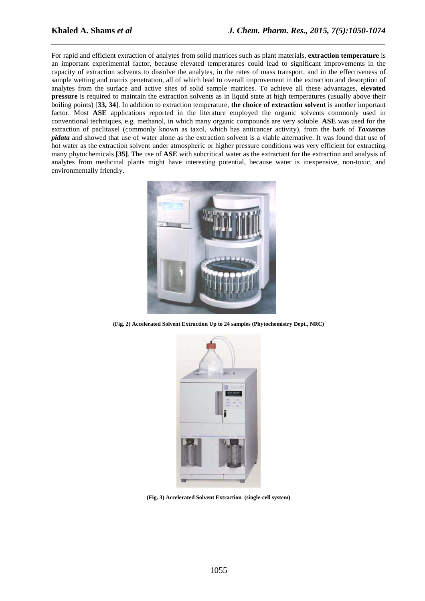For rapid and efficient extraction of analytes from solid matrices such as plant materials, **extraction temperature** is an important experimental factor, because elevated temperatures could lead to significant improvements in the capacity of extraction solvents to dissolve the analytes, in the rates of mass transport, and in the effectiveness of sample wetting and matrix penetration, all of which lead to overall improvement in the extraction and desorption of analytes from the surface and active sites of solid sample matrices. To achieve all these advantages, **elevated pressure** is required to maintain the extraction solvents as in liquid state at high temperatures (usually above their boiling points) [**33, 34**]. In addition to extraction temperature, **the choice of extraction solvent** is another important factor. Most **ASE** applications reported in the literature employed the organic solvents commonly used in conventional techniques, e.g. methanol, in which many organic compounds are very soluble. **ASE** was used for the extraction of paclitaxel (commonly known as taxol, which has anticancer activity), from the bark of *Taxuscus pidata* and showed that use of water alone as the extraction solvent is a viable alternative. It was found that use of hot water as the extraction solvent under atmospheric or higher pressure conditions was very efficient for extracting many phytochemicals **[35]**. The use of **ASE** with subcritical water as the extractant for the extraction and analysis of analytes from medicinal plants might have interesting potential, because water is inexpensive, non-toxic, and environmentally friendly.

*\_\_\_\_\_\_\_\_\_\_\_\_\_\_\_\_\_\_\_\_\_\_\_\_\_\_\_\_\_\_\_\_\_\_\_\_\_\_\_\_\_\_\_\_\_\_\_\_\_\_\_\_\_\_\_\_\_\_\_\_\_\_\_\_\_\_\_\_\_\_\_\_\_\_\_\_\_\_*



**(Fig. 2) Accelerated Solvent Extraction Up to 24 samples (Phytochemistry Dept., NRC)** 



**(Fig. 3) Accelerated Solvent Extraction (single-cell system)**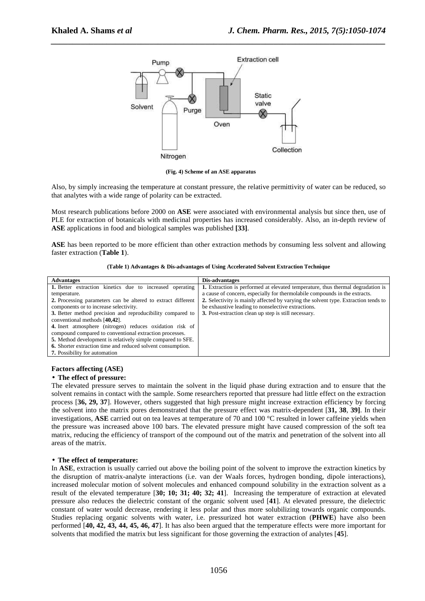

*\_\_\_\_\_\_\_\_\_\_\_\_\_\_\_\_\_\_\_\_\_\_\_\_\_\_\_\_\_\_\_\_\_\_\_\_\_\_\_\_\_\_\_\_\_\_\_\_\_\_\_\_\_\_\_\_\_\_\_\_\_\_\_\_\_\_\_\_\_\_\_\_\_\_\_\_\_\_*

 **(Fig. 4) Scheme of an ASE apparatus** 

Also, by simply increasing the temperature at constant pressure, the relative permittivity of water can be reduced, so that analytes with a wide range of polarity can be extracted.

Most research publications before 2000 on **ASE** were associated with environmental analysis but since then, use of PLE for extraction of botanicals with medicinal properties has increased considerably. Also, an in-depth review of **ASE** applications in food and biological samples was published **[33]**.

**ASE** has been reported to be more efficient than other extraction methods by consuming less solvent and allowing faster extraction (**Table 1**).

| (Table 1) Advantages & Dis-advantages of Using Accelerated Solvent Extraction Technique |  |  |
|-----------------------------------------------------------------------------------------|--|--|
|-----------------------------------------------------------------------------------------|--|--|

| <b>Advantages</b>                                                  | <b>Dis-advantages</b>                                                              |
|--------------------------------------------------------------------|------------------------------------------------------------------------------------|
| 1. Better extraction kinetics due to increased operating           | 1. Extraction is performed at elevated temperature, thus thermal degradation is    |
| temperature.                                                       | a cause of concern, especially for thermolabile compounds in the extracts.         |
| 2. Processing parameters can be altered to extract different       | 2. Selectivity is mainly affected by varying the solvent type. Extraction tends to |
| components or to increase selectivity.                             | be exhaustive leading to nonselective extractions.                                 |
| 3. Better method precision and reproducibility compared to         | 3. Post-extraction clean up step is still necessary.                               |
| conventional methods [40,42].                                      |                                                                                    |
| <b>4.</b> Inert atmosphere (nitrogen) reduces oxidation risk of    |                                                                                    |
| compound compared to conventional extraction processes.            |                                                                                    |
| 5. Method development is relatively simple compared to SFE.        |                                                                                    |
| <b>6.</b> Shorter extraction time and reduced solvent consumption. |                                                                                    |
| <b>7.</b> Possibility for automation                               |                                                                                    |

# **Factors affecting (ASE)**

#### • **The effect of pressure:**

The elevated pressure serves to maintain the solvent in the liquid phase during extraction and to ensure that the solvent remains in contact with the sample. Some researchers reported that pressure had little effect on the extraction process [**36, 29, 37**]. However, others suggested that high pressure might increase extraction efficiency by forcing the solvent into the matrix pores demonstrated that the pressure effect was matrix-dependent [**31, 38**, **39]**. In their investigations, **ASE** carried out on tea leaves at temperature of 70 and 100 °C resulted in lower caffeine yields when the pressure was increased above 100 bars. The elevated pressure might have caused compression of the soft tea matrix, reducing the efficiency of transport of the compound out of the matrix and penetration of the solvent into all areas of the matrix.

#### • **The effect of temperature:**

In **ASE**, extraction is usually carried out above the boiling point of the solvent to improve the extraction kinetics by the disruption of matrix-analyte interactions (i.e. van der Waals forces, hydrogen bonding, dipole interactions), increased molecular motion of solvent molecules and enhanced compound solubility in the extraction solvent as a result of the elevated temperature [**30; 10; 31; 40; 32; 41**]. Increasing the temperature of extraction at elevated pressure also reduces the dielectric constant of the organic solvent used [**41**]. At elevated pressure, the dielectric constant of water would decrease, rendering it less polar and thus more solubilizing towards organic compounds. Studies replacing organic solvents with water, i.e. pressurized hot water extraction (**PHWE**) have also been performed [**40, 42, 43, 44, 45, 46, 47**]. It has also been argued that the temperature effects were more important for solvents that modified the matrix but less significant for those governing the extraction of analytes [**45**].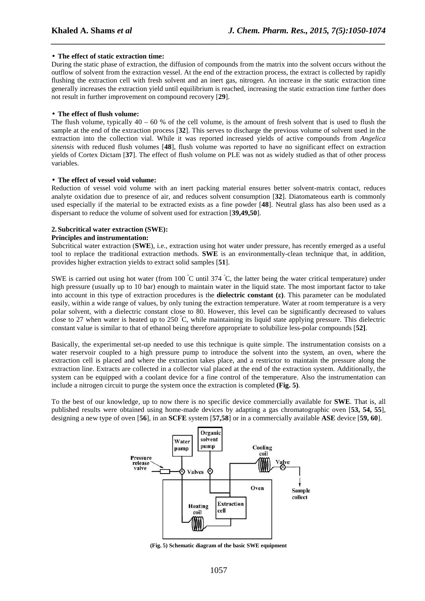#### • **The effect of static extraction time:**

During the static phase of extraction, the diffusion of compounds from the matrix into the solvent occurs without the outflow of solvent from the extraction vessel. At the end of the extraction process, the extract is collected by rapidly flushing the extraction cell with fresh solvent and an inert gas, nitrogen. An increase in the static extraction time generally increases the extraction yield until equilibrium is reached, increasing the static extraction time further does not result in further improvement on compound recovery [**29**].

*\_\_\_\_\_\_\_\_\_\_\_\_\_\_\_\_\_\_\_\_\_\_\_\_\_\_\_\_\_\_\_\_\_\_\_\_\_\_\_\_\_\_\_\_\_\_\_\_\_\_\_\_\_\_\_\_\_\_\_\_\_\_\_\_\_\_\_\_\_\_\_\_\_\_\_\_\_\_*

## • **The effect of flush volume:**

The flush volume, typically  $40 - 60$  % of the cell volume, is the amount of fresh solvent that is used to flush the sample at the end of the extraction process [**32**]. This serves to discharge the previous volume of solvent used in the extraction into the collection vial. While it was reported increased yields of active compounds from *Angelica sinensis* with reduced flush volumes [**48**], flush volume was reported to have no significant effect on extraction yields of Cortex Dictam [**37**]. The effect of flush volume on PLE was not as widely studied as that of other process variables.

#### • **The effect of vessel void volume:**

Reduction of vessel void volume with an inert packing material ensures better solvent-matrix contact, reduces analyte oxidation due to presence of air, and reduces solvent consumption [**32**]. Diatomateous earth is commonly used especially if the material to be extracted exists as a fine powder [**48**]. Neutral glass has also been used as a dispersant to reduce the volume of solvent used for extraction [**39,49,50**].

#### **2. Subcritical water extraction (SWE):**

#### **Principles and instrumentation:**

Subcritical water extraction (**SWE**), i.e., extraction using hot water under pressure, has recently emerged as a useful tool to replace the traditional extraction methods. **SWE** is an environmentally-clean technique that, in addition, provides higher extraction yields to extract solid samples [**51**].

SWE is carried out using hot water (from 100  $\degree$ C until 374  $\degree$ C, the latter being the water critical temperature) under high pressure (usually up to 10 bar) enough to maintain water in the liquid state. The most important factor to take into account in this type of extraction procedures is the **dielectric constant (ε)**. This parameter can be modulated easily, within a wide range of values, by only tuning the extraction temperature. Water at room temperature is a very polar solvent, with a dielectric constant close to 80. However, this level can be significantly decreased to values close to 27 when water is heated up to 250 <sup>º</sup>C, while maintaining its liquid state applying pressure. This dielectric constant value is similar to that of ethanol being therefore appropriate to solubilize less-polar compounds [**52]**.

Basically, the experimental set-up needed to use this technique is quite simple. The instrumentation consists on a water reservoir coupled to a high pressure pump to introduce the solvent into the system, an oven, where the extraction cell is placed and where the extraction takes place, and a restrictor to maintain the pressure along the extraction line. Extracts are collected in a collector vial placed at the end of the extraction system. Additionally, the system can be equipped with a coolant device for a fine control of the temperature. Also the instrumentation can include a nitrogen circuit to purge the system once the extraction is completed **(Fig. 5)**.

To the best of our knowledge, up to now there is no specific device commercially available for **SWE**. That is, all published results were obtained using home-made devices by adapting a gas chromatographic oven [**53, 54, 55**], designing a new type of oven [**56**], in an **SCFE** system [**57,58**] or in a commercially available **ASE** device [**59, 60**].



**(Fig. 5) Schematic diagram of the basic SWE equipment**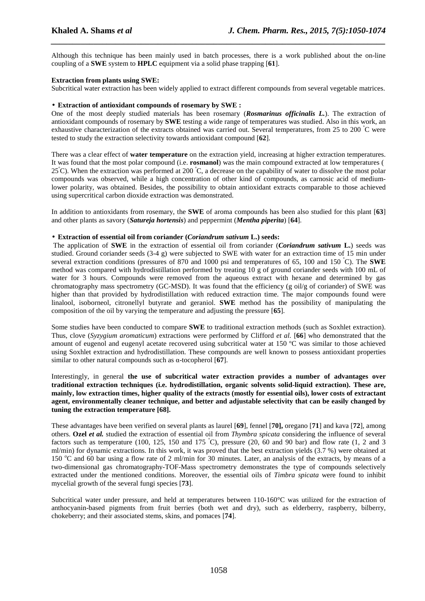Although this technique has been mainly used in batch processes, there is a work published about the on-line coupling of a **SWE** system to **HPLC** equipment via a solid phase trapping [**61**].

*\_\_\_\_\_\_\_\_\_\_\_\_\_\_\_\_\_\_\_\_\_\_\_\_\_\_\_\_\_\_\_\_\_\_\_\_\_\_\_\_\_\_\_\_\_\_\_\_\_\_\_\_\_\_\_\_\_\_\_\_\_\_\_\_\_\_\_\_\_\_\_\_\_\_\_\_\_\_*

# **Extraction from plants using SWE:**

Subcritical water extraction has been widely applied to extract different compounds from several vegetable matrices.

# • **Extraction of antioxidant compounds of rosemary by SWE :**

One of the most deeply studied materials has been rosemary (*Rosmarinus officinalis L.*). The extraction of antioxidant compounds of rosemary by **SWE** testing a wide range of temperatures was studied. Also in this work, an exhaustive characterization of the extracts obtained was carried out. Several temperatures, from 25 to 200 °C were tested to study the extraction selectivity towards antioxidant compound [**62**].

There was a clear effect of **water temperature** on the extraction yield, increasing at higher extraction temperatures. It was found that the most polar compound (i.e. **rosmanol**) was the main compound extracted at low temperatures (  $25^{\circ}$ C). When the extraction was performed at 200  $^{\circ}$ C, a decrease on the capability of water to dissolve the most polar compounds was observed, while a high concentration of other kind of compounds, as carnosic acid of mediumlower polarity, was obtained. Besides, the possibility to obtain antioxidant extracts comparable to those achieved using supercritical carbon dioxide extraction was demonstrated.

In addition to antioxidants from rosemary, the **SWE** of aroma compounds has been also studied for this plant [**63**] and other plants as savory (*Satureja hortensis*) and peppermint (*Mentha piperita*) [**64**].

# • **Extraction of essential oil from coriander (***Coriandrum sativum* **L.) seeds:**

 The application of **SWE** in the extraction of essential oil from coriander (*Coriandrum sativum* **L.**) seeds was studied. Ground coriander seeds (3-4 g) were subjected to SWE with water for an extraction time of 15 min under several extraction conditions (pressures of 870 and 1000 psi and temperatures of 65, 100 and 150 <sup>º</sup>C). The **SWE** method was compared with hydrodistillation performed by treating 10 g of ground coriander seeds with 100 mL of water for 3 hours. Compounds were removed from the aqueous extract with hexane and determined by gas chromatography mass spectrometry (GC-MSD). It was found that the efficiency (g oil/g of coriander) of SWE was higher than that provided by hydrodistillation with reduced extraction time. The major compounds found were linalool, isoborneol, citronellyl butyrate and geraniol. **SWE** method has the possibility of manipulating the composition of the oil by varying the temperature and adjusting the pressure [**65**].

Some studies have been conducted to compare **SWE** to traditional extraction methods (such as Soxhlet extraction). Thus, clove (*Syzygium aromaticum*) extractions were performed by Clifford *et al.* [**66**] who demonstrated that the amount of eugenol and eugenyl acetate recovered using subcritical water at 150 ºC was similar to those achieved using Soxhlet extraction and hydrodistillation. These compounds are well known to possess antioxidant properties similar to other natural compounds such as α-tocopherol [**67**].

Interestingly, in general **the use of subcritical water extraction provides a number of advantages over traditional extraction techniques (i.e. hydrodistillation, organic solvents solid-liquid extraction). These are, mainly, low extraction times, higher quality of the extracts (mostly for essential oils), lower costs of extractant agent, environmentally cleaner technique, and better and adjustable selectivity that can be easily changed by tuning the extraction temperature [68].**

These advantages have been verified on several plants as laurel [**69**], fennel [**70],** oregano [**71**] and kava [**72**], among others. **Ozel** *et al.* studied the extraction of essential oil from *Thymbra spicata* considering the influence of several factors such as temperature (100, 125, 150 and 175 °C), pressure (20, 60 and 90 bar) and flow rate (1, 2 and 3 ml/min) for dynamic extractions. In this work, it was proved that the best extraction yields (3.7 %) were obtained at 150 °C and 60 bar using a flow rate of 2 ml/min for 30 minutes. Later, an analysis of the extracts, by means of a two-dimensional gas chromatography-TOF-Mass spectrometry demonstrates the type of compounds selectively extracted under the mentioned conditions. Moreover, the essential oils of *Timbra spicata* were found to inhibit mycelial growth of the several fungi species [**73**].

Subcritical water under pressure, and held at temperatures between 110-160°C was utilized for the extraction of anthocyanin-based pigments from fruit berries (both wet and dry), such as elderberry, raspberry, bilberry, chokeberry; and their associated stems, skins, and pomaces [**74**].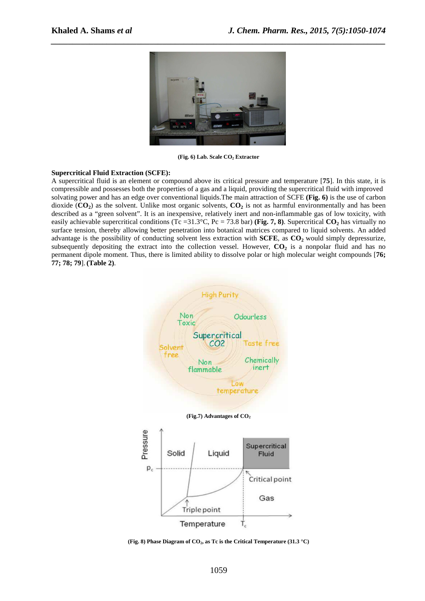

**(Fig. 6) Lab. Scale CO2 Extractor** 

# **Supercritical Fluid Extraction (SCFE):**

A supercritical fluid is an element or compound above its critical pressure and temperature [**75**]. In this state, it is compressible and possesses both the properties of a gas and a liquid, providing the supercritical fluid with improved solvating power and has an edge over conventional liquids.The main attraction of SCFE **(Fig. 6)** is the use of carbon dioxide  $(CO_2)$  as the solvent. Unlike most organic solvents,  $CO_2$  is not as harmful environmentally and has been described as a "green solvent". It is an inexpensive, relatively inert and non-inflammable gas of low toxicity, with easily achievable supercritical conditions (Tc =31.3 $^{\circ}$ C, Pc = 73.8 bar) (Fig. 7, 8). Supercritical CO<sub>2</sub> has virtually no surface tension, thereby allowing better penetration into botanical matrices compared to liquid solvents. An added advantage is the possibility of conducting solvent less extraction with **SCFE**, as **CO2** would simply depressurize, subsequently depositing the extract into the collection vessel. However,  $CO<sub>2</sub>$  is a nonpolar fluid and has no permanent dipole moment. Thus, there is limited ability to dissolve polar or high molecular weight compounds [**76; 77; 78; 79**].**(Table 2)**.



**(Fig. 8) Phase Diagram of CO2, as Tc is the Critical Temperature (31.3 °C)**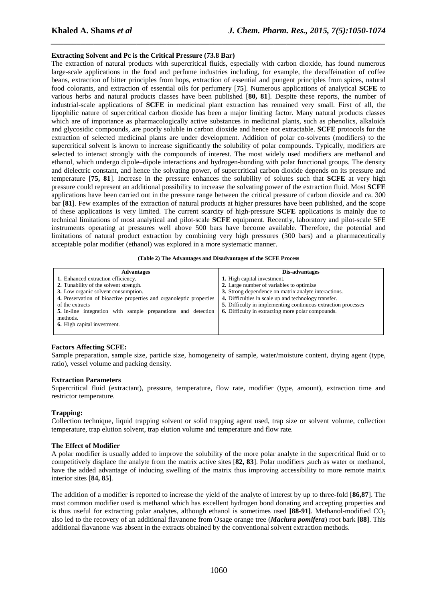#### **Extracting Solvent and Pc is the Critical Pressure (73.8 Bar)**

The extraction of natural products with supercritical fluids, especially with carbon dioxide, has found numerous large-scale applications in the food and perfume industries including, for example, the decaffeination of coffee beans, extraction of bitter principles from hops, extraction of essential and pungent principles from spices, natural food colorants, and extraction of essential oils for perfumery [**75**]. Numerous applications of analytical **SCFE** to various herbs and natural products classes have been published [**80, 81**]. Despite these reports, the number of industrial-scale applications of **SCFE** in medicinal plant extraction has remained very small. First of all, the lipophilic nature of supercritical carbon dioxide has been a major limiting factor. Many natural products classes which are of importance as pharmacologically active substances in medicinal plants, such as phenolics, alkaloids and glycosidic compounds, are poorly soluble in carbon dioxide and hence not extractable. **SCFE** protocols for the extraction of selected medicinal plants are under development. Addition of polar co-solvents (modifiers) to the supercritical solvent is known to increase significantly the solubility of polar compounds. Typically, modifiers are selected to interact strongly with the compounds of interest. The most widely used modifiers are methanol and ethanol, which undergo dipole–dipole interactions and hydrogen-bonding with polar functional groups. The density and dielectric constant, and hence the solvating power, of supercritical carbon dioxide depends on its pressure and temperature [**75, 81**]. Increase in the pressure enhances the solubility of solutes such that **SCFE** at very high pressure could represent an additional possibility to increase the solvating power of the extraction fluid. Most **SCFE** applications have been carried out in the pressure range between the critical pressure of carbon dioxide and ca. 300 bar [**81**]. Few examples of the extraction of natural products at higher pressures have been published, and the scope of these applications is very limited. The current scarcity of high-pressure **SCFE** applications is mainly due to technical limitations of most analytical and pilot-scale **SCFE** equipment. Recently, laboratory and pilot-scale SFE instruments operating at pressures well above 500 bars have become available. Therefore, the potential and limitations of natural product extraction by combining very high pressures (300 bars) and a pharmaceutically acceptable polar modifier (ethanol) was explored in a more systematic manner.

*\_\_\_\_\_\_\_\_\_\_\_\_\_\_\_\_\_\_\_\_\_\_\_\_\_\_\_\_\_\_\_\_\_\_\_\_\_\_\_\_\_\_\_\_\_\_\_\_\_\_\_\_\_\_\_\_\_\_\_\_\_\_\_\_\_\_\_\_\_\_\_\_\_\_\_\_\_\_*

#### **(Table 2) The Advantages and Disadvantages of the SCFE Process**

| <b>Advantages</b>                                                   | Dis-advantages                                                |
|---------------------------------------------------------------------|---------------------------------------------------------------|
| 1. Enhanced extraction efficiency.                                  | 1. High capital investment.                                   |
| 2. Tunability of the solvent strength.                              | 2. Large number of variables to optimize                      |
| 3. Low organic solvent consumption.                                 | 3. Strong dependence on matrix analyte interactions.          |
| 4. Preservation of bioactive properties and organoleptic properties | 4. Difficulties in scale up and technology transfer.          |
| of the extracts                                                     | 5. Difficulty in implementing continuous extraction processes |
| 5. In-line integration with sample preparations and detection       | <b>6.</b> Difficulty in extracting more polar compounds.      |
| methods.                                                            |                                                               |
| <b>6.</b> High capital investment.                                  |                                                               |
|                                                                     |                                                               |

#### **Factors Affecting SCFE:**

Sample preparation, sample size, particle size, homogeneity of sample, water/moisture content, drying agent (type, ratio), vessel volume and packing density.

#### **Extraction Parameters**

Supercritical fluid (extractant), pressure, temperature, flow rate, modifier (type, amount), extraction time and restrictor temperature.

#### **Trapping:**

Collection technique, liquid trapping solvent or solid trapping agent used, trap size or solvent volume, collection temperature, trap elution solvent, trap elution volume and temperature and flow rate.

#### **The Effect of Modifier**

A polar modifier is usually added to improve the solubility of the more polar analyte in the supercritical fluid or to competitively displace the analyte from the matrix active sites [**82, 83**]. Polar modifiers ,such as water or methanol, have the added advantage of inducing swelling of the matrix thus improving accessibility to more remote matrix interior sites [**84, 85**].

The addition of a modifier is reported to increase the yield of the analyte of interest by up to three-fold [**86,87**]. The most common modifier used is methanol which has excellent hydrogen bond donating and accepting properties and is thus useful for extracting polar analytes, although ethanol is sometimes used  $[88-91]$ . Methanol-modified  $CO<sub>2</sub>$ also led to the recovery of an additional flavanone from Osage orange tree (*Maclura pomifera*) root bark **[88]**. This additional flavanone was absent in the extracts obtained by the conventional solvent extraction methods.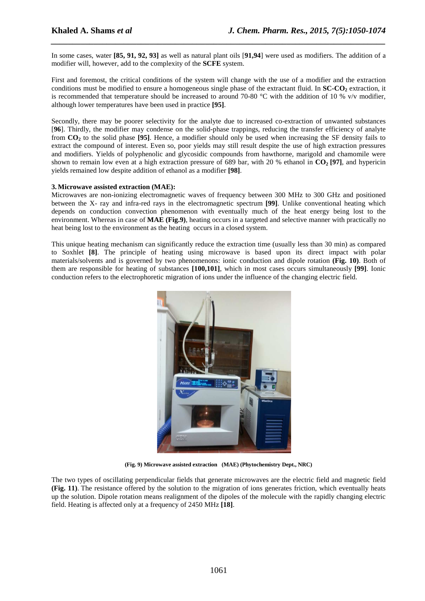In some cases, water **[85, 91, 92, 93]** as well as natural plant oils [**91,94**] were used as modifiers. The addition of a modifier will, however, add to the complexity of the **SCFE** system.

*\_\_\_\_\_\_\_\_\_\_\_\_\_\_\_\_\_\_\_\_\_\_\_\_\_\_\_\_\_\_\_\_\_\_\_\_\_\_\_\_\_\_\_\_\_\_\_\_\_\_\_\_\_\_\_\_\_\_\_\_\_\_\_\_\_\_\_\_\_\_\_\_\_\_\_\_\_\_*

First and foremost, the critical conditions of the system will change with the use of a modifier and the extraction conditions must be modified to ensure a homogeneous single phase of the extractant fluid. In **SC-CO2** extraction, it is recommended that temperature should be increased to around 70-80 °C with the addition of 10 % v/v modifier, although lower temperatures have been used in practice **[95]**.

Secondly, there may be poorer selectivity for the analyte due to increased co-extraction of unwanted substances [**96**]. Thirdly, the modifier may condense on the solid-phase trappings, reducing the transfer efficiency of analyte from **CO2** to the solid phase **[95]**. Hence, a modifier should only be used when increasing the SF density fails to extract the compound of interest. Even so, poor yields may still result despite the use of high extraction pressures and modifiers. Yields of polyphenolic and glycosidic compounds from hawthorne, marigold and chamomile were shown to remain low even at a high extraction pressure of 689 bar, with 20 % ethanol in **CO2 [97]**, and hypericin yields remained low despite addition of ethanol as a modifier **[98]**.

# **3.Microwave assisted extraction (MAE):**

Microwaves are non-ionizing electromagnetic waves of frequency between 300 MHz to 300 GHz and positioned between the X- ray and infra-red rays in the electromagnetic spectrum **[99]**. Unlike conventional heating which depends on conduction convection phenomenon with eventually much of the heat energy being lost to the environment. Whereas in case of **MAE (Fig.9)**, heating occurs in a targeted and selective manner with practically no heat being lost to the environment as the heating occurs in a closed system.

This unique heating mechanism can significantly reduce the extraction time (usually less than 30 min) as compared to Soxhlet **[8]**. The principle of heating using microwave is based upon its direct impact with polar materials/solvents and is governed by two phenomenons: ionic conduction and dipole rotation **(Fig. 10)**. Both of them are responsible for heating of substances **[100,101]**, which in most cases occurs simultaneously **[99]**. Ionic conduction refers to the electrophoretic migration of ions under the influence of the changing electric field.



**(Fig. 9) Microwave assisted extraction (MAE) (Phytochemistry Dept., NRC)**

The two types of oscillating perpendicular fields that generate microwaves are the electric field and magnetic field **(Fig. 11)**. The resistance offered by the solution to the migration of ions generates friction, which eventually heats up the solution. Dipole rotation means realignment of the dipoles of the molecule with the rapidly changing electric field. Heating is affected only at a frequency of 2450 MHz **[18]**.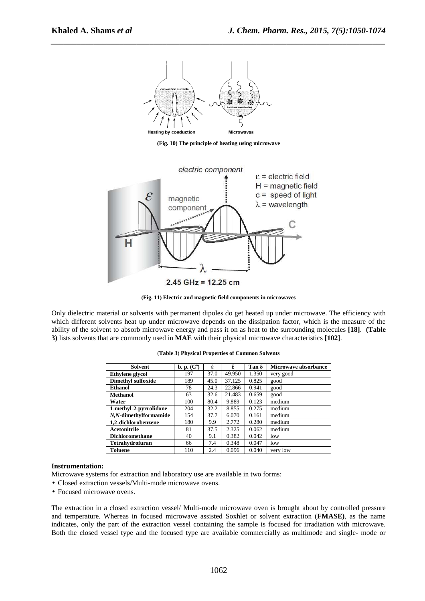

**(Fig. 10) The principle of heating using microwave**

*\_\_\_\_\_\_\_\_\_\_\_\_\_\_\_\_\_\_\_\_\_\_\_\_\_\_\_\_\_\_\_\_\_\_\_\_\_\_\_\_\_\_\_\_\_\_\_\_\_\_\_\_\_\_\_\_\_\_\_\_\_\_\_\_\_\_\_\_\_\_\_\_\_\_\_\_\_\_*



**(Fig. 11) Electric and magnetic field components in microwaves** 

Only dielectric material or solvents with permanent dipoles do get heated up under microwave. The efficiency with which different solvents heat up under microwave depends on the dissipation factor, which is the measure of the ability of the solvent to absorb microwave energy and pass it on as heat to the surrounding molecules **[18]**. **(Table 3)** lists solvents that are commonly used in **MAE** with their physical microwave characteristics **[102]**.

| <b>Solvent</b>         | $\mathbf{b}$ . p. $(\mathbf{C}^{\mathbf{0}})$ | έ    | š.     | Tan $\delta$ | Microwave absorbance |
|------------------------|-----------------------------------------------|------|--------|--------------|----------------------|
| Ethylene glycol        | 197                                           | 37.0 | 49.950 | 1.350        | very good            |
| Dimethyl sulfoxide     | 189                                           | 45.0 | 37.125 | 0.825        | good                 |
| <b>Ethanol</b>         | 78                                            | 24.3 | 22.866 | 0.941        | good                 |
| <b>Methanol</b>        | 63                                            | 32.6 | 21.483 | 0.659        | good                 |
| Water                  | 100                                           | 80.4 | 9.889  | 0.123        | medium               |
| 1-methyl-2-pyrrolidone | 204                                           | 32.2 | 8.855  | 0.275        | medium               |
| N,N-dimethylformamide  | 154                                           | 37.7 | 6.070  | 0.161        | medium               |
| 1,2-dichlorobenzene    | 180                                           | 9.9  | 2.772  | 0.280        | medium               |
| <b>Acetonitrile</b>    | 81                                            | 37.5 | 2.325  | 0.062        | medium               |
| <b>Dichloromethane</b> | 40                                            | 9.1  | 0.382  | 0.042        | low                  |
| Tetrahydrofuran        | 66                                            | 7.4  | 0.348  | 0.047        | low                  |
| Toluene                | 110                                           | 2.4  | 0.096  | 0.040        | very low             |

(**Table 3**) **Physical Properties of Common Solvents** 

## **Instrumentation:**

Microwave systems for extraction and laboratory use are available in two forms:

- Closed extraction vessels/Multi-mode microwave ovens.
- Focused microwave ovens.

The extraction in a closed extraction vessel/ Multi-mode microwave oven is brought about by controlled pressure and temperature. Whereas in focused microwave assisted Soxhlet or solvent extraction (**FMASE)**, as the name indicates, only the part of the extraction vessel containing the sample is focused for irradiation with microwave. Both the closed vessel type and the focused type are available commercially as multimode and single- mode or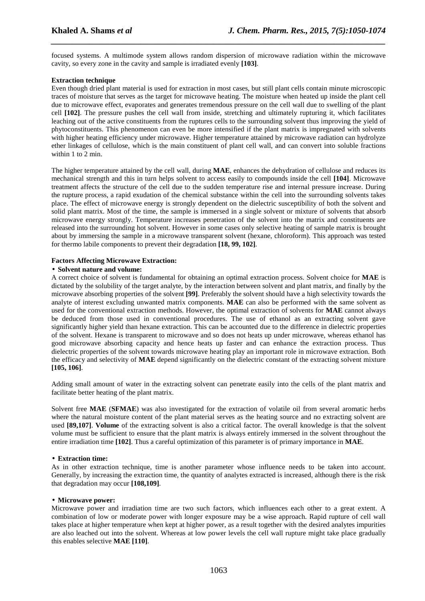focused systems. A multimode system allows random dispersion of microwave radiation within the microwave cavity, so every zone in the cavity and sample is irradiated evenly **[103]**.

*\_\_\_\_\_\_\_\_\_\_\_\_\_\_\_\_\_\_\_\_\_\_\_\_\_\_\_\_\_\_\_\_\_\_\_\_\_\_\_\_\_\_\_\_\_\_\_\_\_\_\_\_\_\_\_\_\_\_\_\_\_\_\_\_\_\_\_\_\_\_\_\_\_\_\_\_\_\_*

# **Extraction technique**

Even though dried plant material is used for extraction in most cases, but still plant cells contain minute microscopic traces of moisture that serves as the target for microwave heating. The moisture when heated up inside the plant cell due to microwave effect, evaporates and generates tremendous pressure on the cell wall due to swelling of the plant cell **[102]**. The pressure pushes the cell wall from inside, stretching and ultimately rupturing it, which facilitates leaching out of the active constituents from the ruptures cells to the surrounding solvent thus improving the yield of phytoconstituents. This phenomenon can even be more intensified if the plant matrix is impregnated with solvents with higher heating efficiency under microwave. Higher temperature attained by microwave radiation can hydrolyze ether linkages of cellulose, which is the main constituent of plant cell wall, and can convert into soluble fractions within 1 to 2 min.

The higher temperature attained by the cell wall, during **MAE**, enhances the dehydration of cellulose and reduces its mechanical strength and this in turn helps solvent to access easily to compounds inside the cell **[104]**. Microwave treatment affects the structure of the cell due to the sudden temperature rise and internal pressure increase. During the rupture process, a rapid exudation of the chemical substance within the cell into the surrounding solvents takes place. The effect of microwave energy is strongly dependent on the dielectric susceptibility of both the solvent and solid plant matrix. Most of the time, the sample is immersed in a single solvent or mixture of solvents that absorb microwave energy strongly. Temperature increases penetration of the solvent into the matrix and constituents are released into the surrounding hot solvent. However in some cases only selective heating of sample matrix is brought about by immersing the sample in a microwave transparent solvent (hexane, chloroform). This approach was tested for thermo labile components to prevent their degradation **[18, 99, 102]**.

# **Factors Affecting Microwave Extraction:**

## • **Solvent nature and volume:**

A correct choice of solvent is fundamental for obtaining an optimal extraction process. Solvent choice for **MAE** is dictated by the solubility of the target analyte, by the interaction between solvent and plant matrix, and finally by the microwave absorbing properties of the solvent **[99]**. Preferably the solvent should have a high selectivity towards the analyte of interest excluding unwanted matrix components. **MAE** can also be performed with the same solvent as used for the conventional extraction methods. However, the optimal extraction of solvents for **MAE** cannot always be deduced from those used in conventional procedures. The use of ethanol as an extracting solvent gave significantly higher yield than hexane extraction. This can be accounted due to the difference in dielectric properties of the solvent. Hexane is transparent to microwave and so does not heats up under microwave, whereas ethanol has good microwave absorbing capacity and hence heats up faster and can enhance the extraction process. Thus dielectric properties of the solvent towards microwave heating play an important role in microwave extraction. Both the efficacy and selectivity of **MAE** depend significantly on the dielectric constant of the extracting solvent mixture **[105, 106]**.

Adding small amount of water in the extracting solvent can penetrate easily into the cells of the plant matrix and facilitate better heating of the plant matrix.

Solvent free **MAE** (**SFMAE**) was also investigated for the extraction of volatile oil from several aromatic herbs where the natural moisture content of the plant material serves as the heating source and no extracting solvent are used **[89,107]**. **Volume** of the extracting solvent is also a critical factor. The overall knowledge is that the solvent volume must be sufficient to ensure that the plant matrix is always entirely immersed in the solvent throughout the entire irradiation time **[102]**. Thus a careful optimization of this parameter is of primary importance in **MAE**.

#### • **Extraction time:**

As in other extraction technique, time is another parameter whose influence needs to be taken into account. Generally, by increasing the extraction time, the quantity of analytes extracted is increased, although there is the risk that degradation may occur **[108,109]**.

#### • **Microwave power:**

Microwave power and irradiation time are two such factors, which influences each other to a great extent. A combination of low or moderate power with longer exposure may be a wise approach. Rapid rupture of cell wall takes place at higher temperature when kept at higher power, as a result together with the desired analytes impurities are also leached out into the solvent. Whereas at low power levels the cell wall rupture might take place gradually this enables selective **MAE [110]**.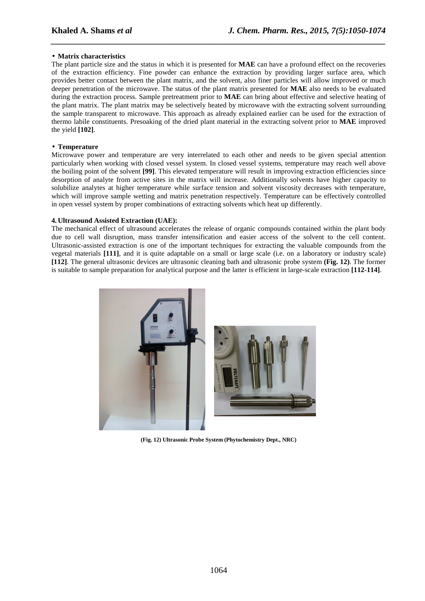# • **Matrix characteristics**

The plant particle size and the status in which it is presented for **MAE** can have a profound effect on the recoveries of the extraction efficiency. Fine powder can enhance the extraction by providing larger surface area, which provides better contact between the plant matrix, and the solvent, also finer particles will allow improved or much deeper penetration of the microwave. The status of the plant matrix presented for **MAE** also needs to be evaluated during the extraction process. Sample pretreatment prior to **MAE** can bring about effective and selective heating of the plant matrix. The plant matrix may be selectively heated by microwave with the extracting solvent surrounding the sample transparent to microwave. This approach as already explained earlier can be used for the extraction of thermo labile constituents. Presoaking of the dried plant material in the extracting solvent prior to **MAE** improved the yield **[102]**.

*\_\_\_\_\_\_\_\_\_\_\_\_\_\_\_\_\_\_\_\_\_\_\_\_\_\_\_\_\_\_\_\_\_\_\_\_\_\_\_\_\_\_\_\_\_\_\_\_\_\_\_\_\_\_\_\_\_\_\_\_\_\_\_\_\_\_\_\_\_\_\_\_\_\_\_\_\_\_*

# • **Temperature**

Microwave power and temperature are very interrelated to each other and needs to be given special attention particularly when working with closed vessel system. In closed vessel systems, temperature may reach well above the boiling point of the solvent **[99]**. This elevated temperature will result in improving extraction efficiencies since desorption of analyte from active sites in the matrix will increase. Additionally solvents have higher capacity to solubilize analytes at higher temperature while surface tension and solvent viscosity decreases with temperature, which will improve sample wetting and matrix penetration respectively. Temperature can be effectively controlled in open vessel system by proper combinations of extracting solvents which heat up differently.

# **4. Ultrasound Assisted Extraction (UAE):**

The mechanical effect of ultrasound accelerates the release of organic compounds contained within the plant body due to cell wall disruption, mass transfer intensification and easier access of the solvent to the cell content. Ultrasonic-assisted extraction is one of the important techniques for extracting the valuable compounds from the vegetal materials **[111]**, and it is quite adaptable on a small or large scale (i.e. on a laboratory or industry scale) **[112]**. The general ultrasonic devices are ultrasonic cleaning bath and ultrasonic probe system **(Fig. 12)**. The former is suitable to sample preparation for analytical purpose and the latter is efficient in large-scale extraction **[112-114]**.



**(Fig. 12) Ultrasonic Probe System (Phytochemistry Dept., NRC)**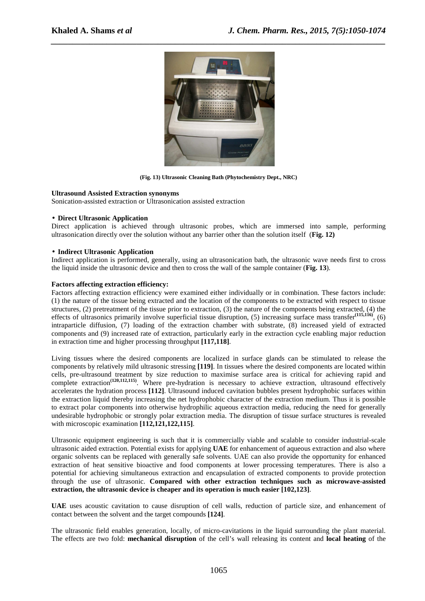

*\_\_\_\_\_\_\_\_\_\_\_\_\_\_\_\_\_\_\_\_\_\_\_\_\_\_\_\_\_\_\_\_\_\_\_\_\_\_\_\_\_\_\_\_\_\_\_\_\_\_\_\_\_\_\_\_\_\_\_\_\_\_\_\_\_\_\_\_\_\_\_\_\_\_\_\_\_\_*

**(Fig. 13) Ultrasonic Cleaning Bath (Phytochemistry Dept., NRC)** 

# **Ultrasound Assisted Extraction synonyms**

Sonication-assisted extraction or Ultrasonication assisted extraction

# • **Direct Ultrasonic Application**

Direct application is achieved through ultrasonic probes, which are immersed into sample, performing ultrasonication directly over the solution without any barrier other than the solution itself (**Fig. 12)** 

# • **Indirect Ultrasonic Application**

Indirect application is performed, generally, using an ultrasonication bath, the ultrasonic wave needs first to cross the liquid inside the ultrasonic device and then to cross the wall of the sample container (**Fig. 13**).

# **Factors affecting extraction efficiency:**

Factors affecting extraction efficiency were examined either individually or in combination. These factors include: (1) the nature of the tissue being extracted and the location of the components to be extracted with respect to tissue structures, (2) pretreatment of the tissue prior to extraction, (3) the nature of the components being extracted, (4) the effects of ultrasonics primarily involve superficial tissue disruption, (5) increasing surface mass transfer**(115,116)**, (6) intraparticle diffusion, (7) loading of the extraction chamber with substrate, (8) increased yield of extracted components and (9) increased rate of extraction, particularly early in the extraction cycle enabling major reduction in extraction time and higher processing throughput **[117,118]**.

Living tissues where the desired components are localized in surface glands can be stimulated to release the components by relatively mild ultrasonic stressing **[119]**. In tissues where the desired components are located within cells, pre-ultrasound treatment by size reduction to maximise surface area is critical for achieving rapid and complete extraction<sup>(120,112,115)</sup>. Where pre-hydration is necessary to achieve extraction, ultrasound effectively accelerates the hydration process **[112]**. Ultrasound induced cavitation bubbles present hydrophobic surfaces within the extraction liquid thereby increasing the net hydrophobic character of the extraction medium. Thus it is possible to extract polar components into otherwise hydrophilic aqueous extraction media, reducing the need for generally undesirable hydrophobic or strongly polar extraction media. The disruption of tissue surface structures is revealed with microscopic examination **[112,121,122,115]**.

Ultrasonic equipment engineering is such that it is commercially viable and scalable to consider industrial-scale ultrasonic aided extraction. Potential exists for applying **UAE** for enhancement of aqueous extraction and also where organic solvents can be replaced with generally safe solvents. UAE can also provide the opportunity for enhanced extraction of heat sensitive bioactive and food components at lower processing temperatures. There is also a potential for achieving simultaneous extraction and encapsulation of extracted components to provide protection through the use of ultrasonic. **Compared with other extraction techniques such as microwave-assisted extraction, the ultrasonic device is cheaper and its operation is much easier [102,123]**.

**UAE** uses acoustic cavitation to cause disruption of cell walls, reduction of particle size, and enhancement of contact between the solvent and the target compounds **[124]**.

The ultrasonic field enables generation, locally, of micro-cavitations in the liquid surrounding the plant material. The effects are two fold: **mechanical disruption** of the cell's wall releasing its content and **local heating** of the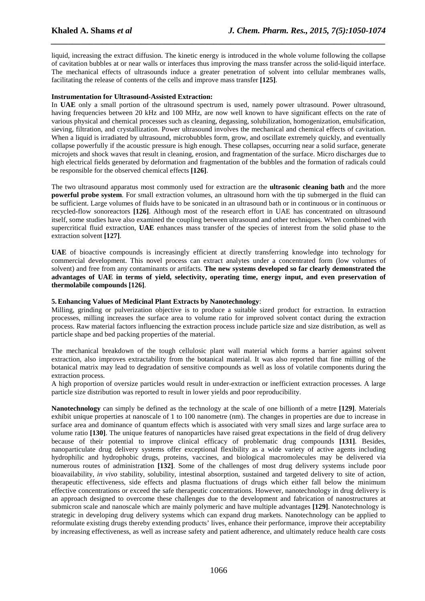liquid, increasing the extract diffusion. The kinetic energy is introduced in the whole volume following the collapse of cavitation bubbles at or near walls or interfaces thus improving the mass transfer across the solid-liquid interface. The mechanical effects of ultrasounds induce a greater penetration of solvent into cellular membranes walls, facilitating the release of contents of the cells and improve mass transfer **[125]**.

*\_\_\_\_\_\_\_\_\_\_\_\_\_\_\_\_\_\_\_\_\_\_\_\_\_\_\_\_\_\_\_\_\_\_\_\_\_\_\_\_\_\_\_\_\_\_\_\_\_\_\_\_\_\_\_\_\_\_\_\_\_\_\_\_\_\_\_\_\_\_\_\_\_\_\_\_\_\_*

# **Instrumentation for Ultrasound-Assisted Extraction:**

In **UAE** only a small portion of the ultrasound spectrum is used, namely power ultrasound. Power ultrasound, having frequencies between 20 kHz and 100 MHz, are now well known to have significant effects on the rate of various physical and chemical processes such as cleaning, degassing, solubilization, homogenization, emulsification, sieving, filtration, and crystallization. Power ultrasound involves the mechanical and chemical effects of cavitation. When a liquid is irradiated by ultrasound, microbubbles form, grow, and oscillate extremely quickly, and eventually collapse powerfully if the acoustic pressure is high enough. These collapses, occurring near a solid surface, generate microjets and shock waves that result in cleaning, erosion, and fragmentation of the surface. Micro discharges due to high electrical fields generated by deformation and fragmentation of the bubbles and the formation of radicals could be responsible for the observed chemical effects **[126]**.

The two ultrasound apparatus most commonly used for extraction are the **ultrasonic cleaning bath** and the more **powerful probe system**. For small extraction volumes, an ultrasound horn with the tip submerged in the fluid can be sufficient. Large volumes of fluids have to be sonicated in an ultrasound bath or in continuous or in continuous or recycled-flow sonoreactors **[126]**. Although most of the research effort in UAE has concentrated on ultrasound itself, some studies have also examined the coupling between ultrasound and other techniques. When combined with supercritical fluid extraction, **UAE** enhances mass transfer of the species of interest from the solid phase to the extraction solvent **[127]**.

**UAE** of bioactive compounds is increasingly efficient at directly transferring knowledge into technology for commercial development. This novel process can extract analytes under a concentrated form (low volumes of solvent) and free from any contaminants or artifacts. **The new systems developed so far clearly demonstrated the advantages of UAE in terms of yield, selectivity, operating time, energy input, and even preservation of thermolabile compounds [126]**.

# **5.Enhancing Values of Medicinal Plant Extracts by Nanotechnology**:

Milling, grinding or pulverization objective is to produce a suitable sized product for extraction. In extraction processes, milling increases the surface area to volume ratio for improved solvent contact during the extraction process. Raw material factors influencing the extraction process include particle size and size distribution, as well as particle shape and bed packing properties of the material.

The mechanical breakdown of the tough cellulosic plant wall material which forms a barrier against solvent extraction, also improves extractability from the botanical material. It was also reported that fine milling of the botanical matrix may lead to degradation of sensitive compounds as well as loss of volatile components during the extraction process.

A high proportion of oversize particles would result in under-extraction or inefficient extraction processes. A large particle size distribution was reported to result in lower yields and poor reproducibility.

**Nanotechnology** can simply be defined as the technology at the scale of one billionth of a metre **[129]**. Materials exhibit unique properties at nanoscale of 1 to 100 nanometre (nm). The changes in properties are due to increase in surface area and dominance of quantum effects which is associated with very small sizes and large surface area to volume ratio **[130]**. The unique features of nanoparticles have raised great expectations in the field of drug delivery because of their potential to improve clinical efficacy of problematic drug compounds **[131]**. Besides, nanoparticulate drug delivery systems offer exceptional flexibility as a wide variety of active agents including hydrophilic and hydrophobic drugs, proteins, vaccines, and biological macromolecules may be delivered via numerous routes of administration **[132]**. Some of the challenges of most drug delivery systems include poor bioavailability, *in vivo* stability, solubility, intestinal absorption, sustained and targeted delivery to site of action, therapeutic effectiveness, side effects and plasma fluctuations of drugs which either fall below the minimum effective concentrations or exceed the safe therapeutic concentrations. However, nanotechnology in drug delivery is an approach designed to overcome these challenges due to the development and fabrication of nanostructures at submicron scale and nanoscale which are mainly polymeric and have multiple advantages **[129]**. Nanotechnology is strategic in developing drug delivery systems which can expand drug markets. Nanotechnology can be applied to reformulate existing drugs thereby extending products' lives, enhance their performance, improve their acceptability by increasing effectiveness, as well as increase safety and patient adherence, and ultimately reduce health care costs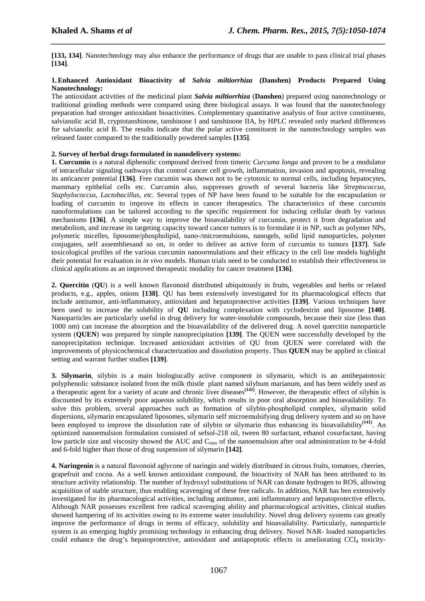**[133, 134]**. Nanotechnology may also enhance the performance of drugs that are unable to pass clinical trial phases **[134]**.

*\_\_\_\_\_\_\_\_\_\_\_\_\_\_\_\_\_\_\_\_\_\_\_\_\_\_\_\_\_\_\_\_\_\_\_\_\_\_\_\_\_\_\_\_\_\_\_\_\_\_\_\_\_\_\_\_\_\_\_\_\_\_\_\_\_\_\_\_\_\_\_\_\_\_\_\_\_\_*

# **1.Enhanced Antioxidant Bioactivity of** *Salvia miltiorrhiza* **(Danshen) Products Prepared Using Nanotechnology:**

The antioxidant activities of the medicinal plant *Salvia miltiorrhiza* (**Danshen**) prepared using nanotechnology or traditional grinding methods were compared using three biological assays. It was found that the nanotechnology preparation had stronger antioxidant bioactivities. Complementary quantitative analysis of four active constituents, salvianolic acid B, cryptotanshinone, tanshinone I and tanshinone IIA, by HPLC revealed only marked differences for salvianolic acid B. The results indicate that the polar active constituent in the nanotechnology samples was released faster compared to the traditionally powdered samples **[135]**.

# **2. Survey of herbal drugs formulated in nanodelivery systems:**

**1. Curcumin** is a natural diphenolic compound derived from timeric *Curcuma longa* and proven to be a modulator of intracellular signaling oathways that control cancer cell growth, inflammation, invasion and apoptosis, revealing its anticancer potential **[136]**. Free cucumin was shown not to be cytotoxic to normal cells, including hepatocytes, mammary epithelial cells etc. Curcumin also, suppresses growth of several bacteria like *Streptococcus, Staphylococcus, Lactobacillus, etc.* Several types of NP have been found to be suitable for the encapsulation or loading of curcumin to improve its effects in cancer therapeutics. The characteristics of these curcumin nanoformulations can be tailored according to the specific requirement for inducing cellular death by various mechanisms **[136]**. A simple way to improve the bioavailability of curcumin, protect it from degradation and metabolism, and increase its targeting capacity toward cancer tumors is to formulate it in NP, such as polymer NPs, polymeric micelles, liposome/phospholipid, nano-/microemulsions, nanogels, solid lipid nanoparticles, polymer conjugates, self assembliesand so on, in order to deliver an active form of curcumin to tumors **[137]**. Safe toxicological profiles of the various curcumin nanoormulations and their efficacy in the cell line models highlight their potential for evaluation in *in vivo* models. Human trials need to be conducted to establish their effectiveness in clinical applications as an improved therapeutic modality for cancer treatment **[136]**.

**2. Quercitin** (**QU**) is a well known flavonoid distributed ubiquitously in fruits, vegetables and herbs or related products, e.g., apples, onions **[138]**. QU has been extensively investigated for its pharmacological effects that include antitumor, anti-inflammatory, antioxidant and hepatoprotective activities **[139]**. Various techniques have been used to increase the solubility of **QU** including complexation with cyclodextrin and liposome **[140]**. Nanoparticles are particularly useful in drug delivery for water-insoluble compounds, because their size (less than 1000 nm) can increase the absorption and the bioavailability of the delivered drug. A novel quercitin nanoparticle system (**QUEN**) was prepared by simple nanoprecipitation **[139]**. The QUEN were successfully developed by the nanoprecipitation technique. Increased antioxidant activities of QU from QUEN were correlated with the improvements of physicochemical characterization and dissolution property. Thus **QUEN** may be applied in clinical setting and warrant further studies **[139]**.

**3. Silymarin**, silybin is a main biologiucally active component in silymarin, which is an antihepatotoxic polyphenolic substance isolated from the milk thistle plant named silybum marianum, and has been widely used as a therapeutic agent for a variety of acute and chronic liver diseases<sup> $(141)$ </sup>. However, the therapeutic effect of silybin is discounted by its extremely poor aqueous solubility, which results in poor oral absorption and bioavailability. To solve this problem, srveral approaches such as formation of silybin-phospholipid complex, silymarin solid dispersions, silymarin encapsulated liposomes, silymarin self microemulsifying drug delivery system and so on have been employed to improve the dissolution rate of silybin or silymarin thus enhancing its bioavailability**(141)**. An optimized nanoemulsion formulation consisted of sefsol-218 oil, tween 80 surfactant, ethanol cosurfactant, having low particle size and viscosity showed the AUC and C<sub>max</sub> of the nanoemulsion after oral administration to be 4-fold and 6-fold higher than those of drug suspension of silymarin **[142]**.

**4. Naringenin** is a natural flavonoid aglycone of naringin and widely distributed in citrous fruits, tomatoes, cherries, grapefruit and cocoa. As a well known antioxidant compound, the bioactivity of NAR has been attributed to its structure activity relationship. The number of hydroxyl substitutions of NAR can donate hydrogen to ROS, allowing acquisition of stable structure, thus enabling scavenging of these free radicals. In addition, NAR has ben extensively investigated for its pharmacological activities, including antitumor, anti inflammatory and hepatoprotective effects. Although NAR possesses excellent free radical scavenging ability and pharmacological activities, clinical studies showed hampering of its activities owing to its extreme water insolubility. Novel drug delivery systems can greatly improve the performance of drugs in terms of efficacy, solubility and bioavailability. Particularly, nanoparticle system is an emerging highly promising technology in enhancing drug delivery. Novel NAR- loaded nanoparticles could enhance the drug's hepatoprotective, antioxidant and antiapoptotic effects in ameliorating CCl<sub>4</sub> toxicity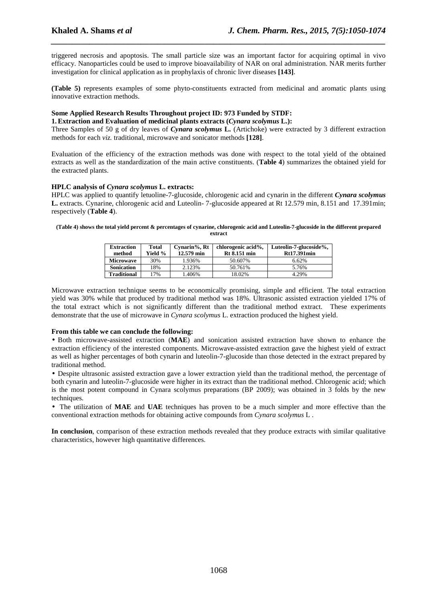triggered necrosis and apoptosis. The small particle size was an important factor for acquiring optimal in vivo efficacy. Nanoparticles could be used to improve bioavailability of NAR on oral administration. NAR merits further investigation for clinical application as in prophylaxis of chronic liver diseases **[143]**.

*\_\_\_\_\_\_\_\_\_\_\_\_\_\_\_\_\_\_\_\_\_\_\_\_\_\_\_\_\_\_\_\_\_\_\_\_\_\_\_\_\_\_\_\_\_\_\_\_\_\_\_\_\_\_\_\_\_\_\_\_\_\_\_\_\_\_\_\_\_\_\_\_\_\_\_\_\_\_*

**(Table 5)** represents examples of some phyto-constituents extracted from medicinal and aromatic plants using innovative extraction methods.

# **Some Applied Research Results Throughout project ID: 973 Funded by STDF:**

**1.Extraction and Evaluation of medicinal plants extracts (***Cynara scolymus* **L.):** 

Three Samples of 50 g of dry leaves of *Cynara scolymus* **L.** (Artichoke) were extracted by 3 different extraction methods for each *viz.* traditional, microwave and sonicator methods **[128]**.

Evaluation of the efficiency of the extraction methods was done with respect to the total yield of the obtained extracts as well as the standardization of the main active constituents. (**Table 4**) summarizes the obtained yield for the extracted plants.

# **HPLC analysis of** *Cynara scolymus* **L. extracts:**

HPLC was applied to quantify letuoline-7-glucoside, chlorogenic acid and cynarin in the different *Cynara scolymus* L. extracts. Cynarine, chlorogenic acid and Luteolin-7-glucoside appeared at Rt 12.579 min, 8.151 and 17.391min; respectively (**Table 4**).

**(Table 4) shows the total yield percent & percentages of cynarine, chlorogenic acid and Luteolin-7-glucoside in the different prepared extract** 

| <b>Extraction</b><br>method | <b>Total</b><br>Yield % | Cynarin%, Rt<br>12.579 min | chlorogenic acid%,<br><b>Rt</b> 8.151 min | Luteolin-7-glucoside%,<br>Rt17.391min |
|-----------------------------|-------------------------|----------------------------|-------------------------------------------|---------------------------------------|
| <b>Microwave</b>            | 30%                     | 1.936%                     | 50.607%                                   | 6.62%                                 |
| <b>Sonication</b>           | 18%                     | 2.123%                     | 50.761%                                   | 5.76%                                 |
| <b>Traditional</b>          | 7%                      | 1.406%                     | 18.02%                                    | 4.29%                                 |

Microwave extraction technique seems to be economically promising, simple and efficient. The total extraction yield was 30% while that produced by traditional method was 18%. Ultrasonic assisted extraction yielded 17% of the total extract which is not significantly different than the traditional method extract. These experiments demonstrate that the use of microwave in *Cynara scolymus* L. extraction produced the highest yield.

# **From this table we can conclude the following:**

• Both microwave-assisted extraction (**MAE**) and sonication assisted extraction have shown to enhance the extraction efficiency of the interested components. Microwave-assisted extraction gave the highest yield of extract as well as higher percentages of both cynarin and luteolin-7-glucoside than those detected in the extract prepared by traditional method.

• Despite ultrasonic assisted extraction gave a lower extraction yield than the traditional method, the percentage of both cynarin and luteolin-7-glucoside were higher in its extract than the traditional method. Chlorogenic acid; which is the most potent compound in Cynara scolymus preparations (BP 2009); was obtained in 3 folds by the new techniques.

• The utilization of **MAE** and **UAE** techniques has proven to be a much simpler and more effective than the conventional extraction methods for obtaining active compounds from *Cynara scolymus* L .

**In conclusion**, comparison of these extraction methods revealed that they produce extracts with similar qualitative characteristics, however high quantitative differences.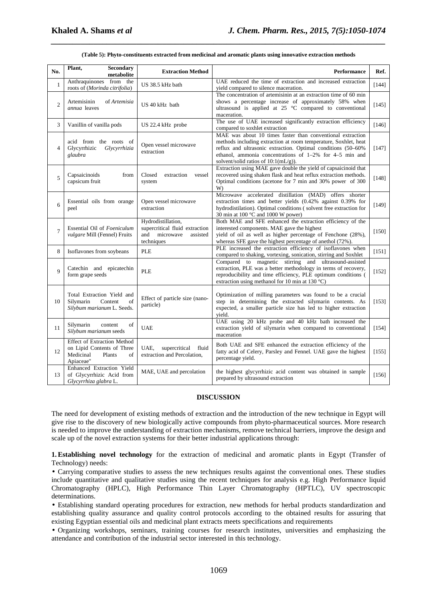| No.            | Plant,<br><b>Secondary</b><br>metabolite                                                                   | <b>Extraction Method</b>                                                                           | Performance                                                                                                                                                                                                                                                                                           | Ref.    |
|----------------|------------------------------------------------------------------------------------------------------------|----------------------------------------------------------------------------------------------------|-------------------------------------------------------------------------------------------------------------------------------------------------------------------------------------------------------------------------------------------------------------------------------------------------------|---------|
| $\mathbf{1}$   | Anthraquinones from the<br>roots of (Morinda citrifolia)                                                   | US 38.5 kHz bath                                                                                   | UAE reduced the time of extraction and increased extraction<br>yield compared to silence maceration.                                                                                                                                                                                                  | $[144]$ |
| $\overline{2}$ | Artemisinin<br>of Artemisia<br>annua leaves                                                                | US 40 kHz bath                                                                                     | The concentration of artemisinin at an extraction time of 60 min<br>shows a percentage increase of approximately 58% when<br>ultrasound is applied at $25\degree$ C compared to conventional<br>maceration.                                                                                           | [145]   |
| 3              | Vanillin of vanilla pods                                                                                   | US 22.4 kHz probe                                                                                  | The use of UAE increased significantly extraction efficiency<br>compared to soxhlet extraction                                                                                                                                                                                                        | $[146]$ |
| $\overline{4}$ | acid from the roots of<br>Glycyrrhizic<br>Glycyrrhizia<br>glaubra                                          | Open vessel microwave<br>extraction                                                                | MAE was about 10 times faster than conventional extraction<br>methods including extraction at room temperature, Soxhlet, heat<br>reflux and ultrasonic extraction. Optimal conditions (50-60%<br>ethanol, ammonia concentrations of $1-2\%$ for $4-5$ min and<br>solvent/solid ratios of 10:1(mL/g)). | [147]   |
| 5              | Capsaicinoids<br>from<br>capsicum fruit                                                                    | Closed<br>extraction<br>vessel<br>system                                                           | Extraction using MAE gave double the yield of capsaicinoid that<br>recovered using shaken flask and heat reflux extraction methods.<br>Optimal conditions (acetone for 7 min and 30% power of 300<br>W)                                                                                               | $[148]$ |
| 6              | Essential oils from orange<br>peel                                                                         | Open vessel microwave<br>extraction                                                                | Microwave accelerated distillation (MAD) offers<br>shorter<br>extraction times and better yields (0.42% against 0.39% for<br>hydrodistilation). Optimal conditions (solvent free extraction for<br>30 min at 100 $^{\circ}$ C and 1000 W power)                                                       | [149]   |
| $\overline{7}$ | Essential Oil of Foeniculum<br>vulgare Mill (Fennel) Fruits                                                | Hydrodistillation,<br>supercritical fluid extraction<br>and<br>microwave<br>assisted<br>techniques | Both MAE and SFE enhanced the extraction efficiency of the<br>interested components. MAE gave the highest<br>yield of oil as well as higher percentage of Fenchone (28%),<br>whereas SFE gave the highest percentage of anethol (72%).                                                                | $[150]$ |
| 8              | Isoflavones from soybeans                                                                                  | <b>PLE</b>                                                                                         | PLE increased the extraction efficiency of isoflavones when<br>compared to shaking, vortexing, sonication, stirring and Soxhlet                                                                                                                                                                       | [151]   |
| 9              | Catechin and epicatechin<br>form grape seeds                                                               | <b>PLE</b>                                                                                         | Compared to magnetic stirring and ultrasound-assisted<br>extraction, PLE was a better methodology in terms of recovery,<br>reproducibility and time efficiency, PLE optimum conditions (<br>extraction using methanol for 10 min at 130 $^{\circ}$ C)                                                 | [152]   |
| 10             | Total Extraction Yield and<br>Silymarin<br>Content<br>of<br>Silybum marianum L. Seeds.                     | Effect of particle size (nano-<br>particle)                                                        | Optimization of milling parameters was found to be a crucial<br>step in determining the extracted silymarin contents. As<br>expected, a smaller particle size has led to higher extraction<br>vield.                                                                                                  | [153]   |
| 11             | Silymarin<br>οf<br>content<br>Silybum marianum seeds                                                       | <b>UAE</b>                                                                                         | UAE using 20 kHz probe and 40 kHz bath increased the<br>extraction yield of silymarin when compared to conventional<br>maceration                                                                                                                                                                     | [154]   |
| 12             | <b>Effect of Extraction Method</b><br>on Lipid Contents of Three<br>Medicinal<br>Plants<br>of<br>Apiaceae" | fluid<br>UAE.<br>supercritical<br>extraction and Percolation,                                      | Both UAE and SFE enhanced the extraction efficiency of the<br>fatty acid of Celery, Parsley and Fennel. UAE gave the highest<br>percentage yield.                                                                                                                                                     | [155]   |
| 13             | Enhanced Extraction Yield<br>of Glycyrrhizic Acid from<br>Glycyrrhiza glabra L.                            | MAE, UAE and percolation                                                                           | the highest glycyrrhizic acid content was obtained in sample<br>prepared by ultrasound extraction                                                                                                                                                                                                     | [156]   |

**(Table 5): Phyto-constituents extracted from medicinal and aromatic plants using innovative extraction methods** 

*\_\_\_\_\_\_\_\_\_\_\_\_\_\_\_\_\_\_\_\_\_\_\_\_\_\_\_\_\_\_\_\_\_\_\_\_\_\_\_\_\_\_\_\_\_\_\_\_\_\_\_\_\_\_\_\_\_\_\_\_\_\_\_\_\_\_\_\_\_\_\_\_\_\_\_\_\_\_*

# **DISCUSSION**

The need for development of existing methods of extraction and the introduction of the new technique in Egypt will give rise to the discovery of new biologically active compounds from phyto-pharmaceutical sources. More research is needed to improve the understanding of extraction mechanisms, remove technical barriers, improve the design and scale up of the novel extraction systems for their better industrial applications through:

**1.Establishing novel technology** for the extraction of medicinal and aromatic plants in Egypt (Transfer of Technology) needs:

• Carrying comparative studies to assess the new techniques results against the conventional ones. These studies include quantitative and qualitative studies using the recent techniques for analysis e.g. High Performance liquid Chromatography (HPLC), High Performance Thin Layer Chromatography (HPTLC), UV spectroscopic determinations.

• Establishing standard operating procedures for extraction, new methods for herbal products standardization and establishing quality assurance and quality control protocols according to the obtained results for assuring that existing Egyptian essential oils and medicinal plant extracts meets specifications and requirements

• Organizing workshops, seminars, training courses for research institutes, universities and emphasizing the attendance and contribution of the industrial sector interested in this technology.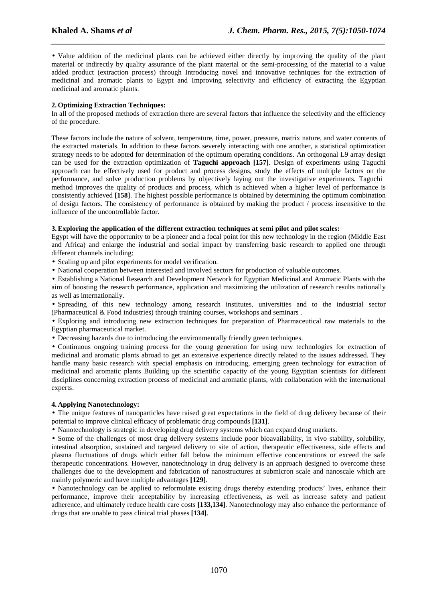• Value addition of the medicinal plants can be achieved either directly by improving the quality of the plant material or indirectly by quality assurance of the plant material or the semi-processing of the material to a value added product (extraction process) through Introducing novel and innovative techniques for the extraction of medicinal and aromatic plants to Egypt and Improving selectivity and efficiency of extracting the Egyptian medicinal and aromatic plants.

*\_\_\_\_\_\_\_\_\_\_\_\_\_\_\_\_\_\_\_\_\_\_\_\_\_\_\_\_\_\_\_\_\_\_\_\_\_\_\_\_\_\_\_\_\_\_\_\_\_\_\_\_\_\_\_\_\_\_\_\_\_\_\_\_\_\_\_\_\_\_\_\_\_\_\_\_\_\_*

# **2.Optimizing Extraction Techniques:**

In all of the proposed methods of extraction there are several factors that influence the selectivity and the efficiency of the procedure.

These factors include the nature of solvent, temperature, time, power, pressure, matrix nature, and water contents of the extracted materials. In addition to these factors severely interacting with one another, a statistical optimization strategy needs to be adopted for determination of the optimum operating conditions. An orthogonal L9 array design can be used for the extraction optimization of **Taguchi approach [157]**. Design of experiments using Taguchi approach can be effectively used for product and process designs, study the effects of multiple factors on the performance, and solve production problems by objectively laying out the investigative experiments. Taguchi method improves the quality of products and process, which is achieved when a higher level of performance is consistently achieved **[158]**. The highest possible performance is obtained by determining the optimum combination of design factors. The consistency of performance is obtained by making the product / process insensitive to the influence of the uncontrollable factor.

# **3.Exploring the application of the different extraction techniques at semi pilot and pilot scales:**

Egypt will have the opportunity to be a pioneer and a focal point for this new technology in the region (Middle East and Africa) and enlarge the industrial and social impact by transferring basic research to applied one through different channels including:

• Scaling up and pilot experiments for model verification.

• National cooperation between interested and involved sectors for production of valuable outcomes.

• Establishing a National Research and Development Network for Egyptian Medicinal and Aromatic Plants with the aim of boosting the research performance, application and maximizing the utilization of research results nationally as well as internationally.

• Spreading of this new technology among research institutes, universities and to the industrial sector (Pharmaceutical & Food industries) through training courses, workshops and seminars .

• Exploring and introducing new extraction techniques for preparation of Pharmaceutical raw materials to the Egyptian pharmaceutical market.

• Decreasing hazards due to introducing the environmentally friendly green techniques.

• Continuous ongoing training process for the young generation for using new technologies for extraction of medicinal and aromatic plants abroad to get an extensive experience directly related to the issues addressed. They handle many basic research with special emphasis on introducing, emerging green technology for extraction of medicinal and aromatic plants Building up the scientific capacity of the young Egyptian scientists for different disciplines concerning extraction process of medicinal and aromatic plants, with collaboration with the international experts.

# **4. Applying Nanotechnology:**

• The unique features of nanoparticles have raised great expectations in the field of drug delivery because of their potential to improve clinical efficacy of problematic drug compounds **[131]**.

• Nanotechnology is strategic in developing drug delivery systems which can expand drug markets.

• Some of the challenges of most drug delivery systems include poor bioavailability, in vivo stability, solubility, intestinal absorption, sustained and targeted delivery to site of action, therapeutic effectiveness, side effects and plasma fluctuations of drugs which either fall below the minimum effective concentrations or exceed the safe therapeutic concentrations. However, nanotechnology in drug delivery is an approach designed to overcome these challenges due to the development and fabrication of nanostructures at submicron scale and nanoscale which are mainly polymeric and have multiple advantages **[129]**.

• Nanotechnology can be applied to reformulate existing drugs thereby extending products' lives, enhance their performance, improve their acceptability by increasing effectiveness, as well as increase safety and patient adherence, and ultimately reduce health care costs **[133,134]**. Nanotechnology may also enhance the performance of drugs that are unable to pass clinical trial phases **[134]**.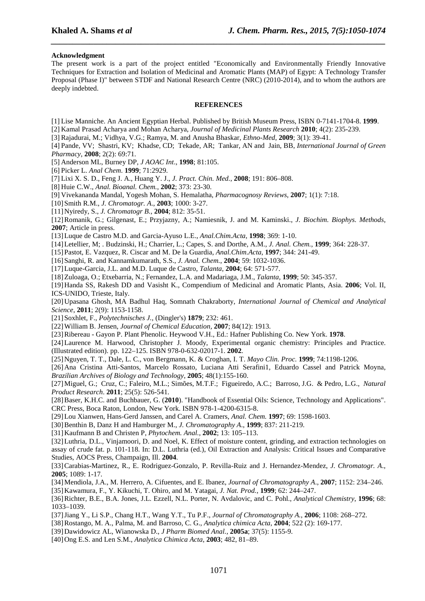#### **Acknowledgment**

The present work is a part of the project entitled "Economically and Environmentally Friendly Innovative Techniques for Extraction and Isolation of Medicinal and Aromatic Plants (MAP) of Egypt: A Technology Transfer Proposal (Phase I)" between STDF and National Research Centre (NRC) (2010-2014), and to whom the authors are deeply indebted.

*\_\_\_\_\_\_\_\_\_\_\_\_\_\_\_\_\_\_\_\_\_\_\_\_\_\_\_\_\_\_\_\_\_\_\_\_\_\_\_\_\_\_\_\_\_\_\_\_\_\_\_\_\_\_\_\_\_\_\_\_\_\_\_\_\_\_\_\_\_\_\_\_\_\_\_\_\_\_*

#### **REFERENCES**

- [1] Lise Manniche. An Ancient Egyptian Herbal. Published by British Museum Press, ISBN 0-7141-1704-8. **1999**.
- [2] Kamal Prasad Acharya and Mohan Acharya, *Journal of Medicinal Plants Research* **2010**; 4(2): 235-239.
- [3] Rajadurai, M.; Vidhya, V.G.; Ramya, M. and Anusha Bhaskar, *Ethno-Med*, **2009**; 3(1): 39-41.
- [4] Pande, VV; Shastri, KV; Khadse, CD; Tekade, AR; Tankar, AN and Jain, BB, *International Journal of Green Pharmacy*, **2008**; 2(2): 69:71.
- [5] Anderson ML, Burney DP, *J AOAC Int*., **1998**; 81:105.
- [6] Picker L. *Anal Chem*. **1999**; 71:2929.
- [7] Lixi X. S. D., Feng J. A., Huang Y. J., *J. Pract. Chin. Med.*, **2008**; 191: 806–808.
- [8] Huie C.W., *Anal. Bioanal. Chem.*, **2002**; 373: 23-30.
- [9] Vivekananda Mandal, Yogesh Mohan, S. Hemalatha, *Pharmacognosy Reviews*, **2007**; 1(1): 7:18.
- [10]Smith R.M., *J. Chromatogr. A*., **2003**; 1000: 3-27.
- [11]Nyiredy, S., *J. Chromatogr B.*, **2004**; 812: 35-51.
- [12]Romanik, G.; Gilgenast, E.; Przyjazny, A.; Namiesnik, J. and M. Kaminski., *J. Biochim. Biophys. Methods*, **2007**; Article in press.
- [13]Luque de Castro M.D. and Garcia-Ayuso L.E., *Anal.Chim.Acta*, **1998**; 369: 1-10.
- [14]Letellier, M; . Budzinski, H.; Charrier, L.; Capes, S. and Dorthe, A.M., *J. Anal. Chem.*, **1999**; 364: 228-37.
- [15]Pastot, E. Vazquez, R. Ciscar and M. De la Guardia, *Anal.Chim.Acta*, **1997**; 344: 241-49.
- [16]Sanghi, R. and Kannamkumarath, S.S., *J. Anal. Chem.*, **2004**; 59: 1032-1036.
- [17]Luque-Garcia, J.L. and M.D. Luque de Castro, *Talanta*, **2004**; 64: 571-577.
- [18]Zuloaga, O.; Etxebarria, N.; Fernandez, L.A. and Madariaga, J.M., *Talanta*, **1999**; 50: 345-357.
- [19]Handa SS, Rakesh DD and Vasisht K., Compendium of Medicinal and Aromatic Plants, Asia. **2006**; Vol. II, ICS-UNIDO, Trieste, Italy.
- [20]Upasana Ghosh, MA Badhul Haq, Somnath Chakraborty, *International Journal of Chemical and Analytical Science*, **2011**; 2(9): 1153-1158.
- [21]Soxhlet, F., *Polytechnisches J.*, (Dingler's) **1879**; 232: 461.
- [22]William B. Jensen, *Journal of Chemical Education,* **2007**; 84(12): 1913.
- [23]Ribereau Gayon P. Plant Phenolic. Heywood V.H., Ed.: Hafner Publishing Co. New York. **1978**.
- [24]Laurence M. Harwood, Christopher J. Moody, Experimental organic chemistry: Principles and Practice. (Illustrated edition). pp. 122–125. ISBN 978-0-632-02017-1. **2002**.
- [25]Nguyen, T. T., Dale, L. C., von Bergmann, K. & Croghan, I. T. *Mayo Clin. Proc.* **1999**; 74:1198-1206.
- [26]Ana Cristina Atti-Santos, Marcelo Rossato, Luciana Atti Serafini1, Eduardo Cassel and Patrick Moyna, *Brazilian Archives of Biology and Technology*, **2005**; 48(1):155-160.
- [27]Miguel, G.; Cruz, C.; Faleiro, M.L.; Simões, M.T.F.; Figueiredo, A.C.; Barroso, J.G. & Pedro, L.G., *Natural Product Research*. **2011**; 25(5): 526-541.
- [28]Baser, K.H.C. and Buchbauer, G. (**2010**). "Handbook of Essential Oils: Science, Technology and Applications". CRC Press, Boca Raton, London, New York. ISBN 978-1-4200-6315-8.
- [29]Lou Xianwen, Hans-Gerd Janssen, and Carel A. Cramers, *Anal. Chem.* **1997**; 69: 1598-1603.
- [30]Benthin B, Danz H and Hamburger M., *J. Chromatography A*., **1999**; 837: 211-219.
- [31]Kaufmann B and Christen P, *Phytochem. Anal.*, **2002**; 13: 105–113.
- [32] Luthria, D.L., Vinjamoori, D. and Noel, K. Effect of moisture content, grinding, and extraction technologies on assay of crude fat. p. 101-118. In: D.L. Luthria (ed.), Oil Extraction and Analysis: Critical Issues and Comparative Studies, AOCS Press, Champaign, Ill. **2004**.
- [33]Carabias-Martinez, R., E. Rodriguez-Gonzalo, P. Revilla-Ruiz and J. Hernandez-Mendez, *J. Chromatogr. A*., **2005**; 1089: 1-17.
- [34]Mendiola, J.A., M. Herrero, A. Cifuentes, and E. Ibanez, *Journal of Chromatography A*., **2007**; 1152: 234–246.
- [35]Kawamura, F., Y. Kikuchi, T. Ohiro, and M. Yatagai, *J. Nat. Prod.*, **1999**; 62: 244–247.
- [36]Richter, B.E., B.A. Jones, J.L. Ezzell, N.L. Porter, N. Avdalovic, and C. Pohl., *Analytical Chemistry*, **1996**; 68: 1033–1039.
- [37]Jiang Y., Li S.P., Chang H.T., Wang Y.T., Tu P.F., *Journal of Chromatography A.*, **2006**; 1108: 268–272.
- [38]Rostango, M. A., Palma, M. and Barroso, C. G., *Analytica chimica Acta*, **2004**; 522 (2): 169-177.
- [39]Dawidowicz AL, Wianowska D., *J Pharm Biomed Anal.*, **2005a**; 37(5): 1155-9.
- [40]Ong E.S. and Len S.M., *Analytica Chimica Acta*, **2003**; 482, 81–89.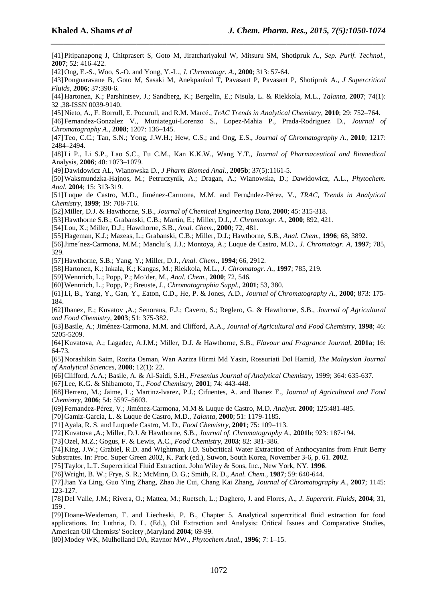[41]Pitipanapong J, Chitprasert S, Goto M, Jiratchariyakul W, Mitsuru SM, Shotipruk A., *Sep. Purif. Technol.*, **2007**; 52: 416-422.

*\_\_\_\_\_\_\_\_\_\_\_\_\_\_\_\_\_\_\_\_\_\_\_\_\_\_\_\_\_\_\_\_\_\_\_\_\_\_\_\_\_\_\_\_\_\_\_\_\_\_\_\_\_\_\_\_\_\_\_\_\_\_\_\_\_\_\_\_\_\_\_\_\_\_\_\_\_\_*

[42]Ong, E.-S., Woo, S.-O. and Yong, Y.-L., *J. Chromatogr. A*., **2000**; 313: 57-64.

- [43]Pongnaravane B, Goto M, Sasaki M, Anekpankul T, Pavasant P, Pavasant P, Shotipruk A., *J Supercritical Fluids*, **2006**; 37:390-6.
- [44]Hartonen, K.; Parshintsev, J.; Sandberg, K.; Bergelin, E.; Nisula, L. & Riekkola, M.L., *Talanta*, **2007**; 74(1): 32.38-ISSN 0039-9140.
- [45]Nieto, A., F. Borrull, E. Pocurull, and R.M. Marcé., *TrAC Trends in Analytical Chemistry*, **2010**; 29: 752–764.
- [46]Fernandez-Gonzalez V., Muniategui-Lorenzo S., Lopez-Mahia P., Prada-Rodriguez D., *Journal of Chromatography A*., **2008**; 1207: 136–145.
- [47]Teo, C.C.; Tan, S.N.; Yong, J.W.H.; Hew, C.S.; and Ong, E.S., *Journal of Chromatography A*., **2010**; 1217: 2484–2494.
- [48]Li P., Li S.P., Lao S.C., Fu C.M., Kan K.K.W., Wang Y.T., *Journal of Pharmaceutical and Biomedical*  Analysis, **2006**; 40: 1073–1079.
- [49]Dawidowicz AL, Wianowska D., *J Pharm Biomed Anal.*, **2005b**; 37(5):1161-5.
- [50]Waksmundzka-Hajnos, M.; Petruczynik, A.; Dragan, A.; Wianowska, D.; Dawidowicz, A.L., *Phytochem. Anal.* **2004**; 15: 313-319.
- [51]Luque de Castro, M.D., Jiménez-Carmona, M.M. and Fern**ل**ndez-Pérez, V., *TRAC, Trends in Analytical Chemistry*, **1999**; 19: 708-716.
- [52]Miller, D.J. & Hawthorne, S.B., *Journal of Chemical Engineering Data*, **2000**; 45: 315-318.
- [53]Hawthorne S.B.; Grabanski, C.B.; Martin, E.; Miller, D.J., *J. Chromatogr. A*., **2000**; 892, 421.
- [54]Lou, X.; Miller, D.J.; Hawthorne, S.B., *Anal. Chem*., **2000**; 72, 481.
- [55]Hageman, K.J.; Mazeas, L.; Grabanski, C.B.; Miller, D.J.; Hawthorne, S.B., *Anal. Chem.*, **1996**; 68, 3892.
- [56]Jime´nez-Carmona, M.M.; Manclu´s, J.J.; Montoya, A.; Luque de Castro, M.D., *J. Chromatogr. A*, **1997**; 785, 329.
- [57]Hawthorne, S.B.; Yang, Y.; Miller, D.J., *Anal. Chem.*, **1994**; 66, 2912.
- [58]Hartonen, K.; Inkala, K.; Kangas, M.; Riekkola, M.L., *J. Chromatogr. A.*, **1997**; 785, 219.
- [59]Wennrich, L.; Popp, P.; Mo¨der, M., *Anal. Chem*., **2000**; 72, 546.
- [60]Wennrich, L.; Popp, P.; Breuste, J., *Chromatographia Suppl*., **2001**; 53, 380.
- [61]Li, B., Yang, Y., Gan, Y., Eaton, C.D., He, P. & Jones, A.D., *Journal of Chromatography A*., **2000**; 873: 175- 184.

[62]Ibanez, E.; Kuvatov **,**A.; Senorans, F.J.; Cavero, S.; Reglero, G. & Hawthorne, S.B., *Journal of Agricultural and Food Chemistry*, **2003**; 51: 375-382.

[63]Basile, A.; Jiménez-Carmona, M.M. and Clifford, A.A., *Journal of Agricultural and Food Chemistry*, **1998**; 46: 5205-5209.

[64]Kuvatova, A.; Lagadec, A.J.M.; Miller, D.J. & Hawthorne, S.B., *Flavour and Fragrance Journal*, **2001a**; 16: 64-73.

[65]Norashikin Saim, Rozita Osman, Wan Azriza Hirmi Md Yasin, Rossuriati Dol Hamid, *The Malaysian Journal of Analytical Sciences*, **2008**; 12(1): 22.

[66]Clifford, A.A.; Basile, A. & Al-Saidi, S.H., *Fresenius Journal of Analytical Chemistry*, 1999; 364: 635-637.

[67]Lee, K.G. & Shibamoto, T., *Food Chemistry*, **2001**; 74: 443-448.

[68]Herrero, M.; Jaime, L.; Martinz**-**lvarez, P.J.; Cifuentes, A. and Ibanez E., *Journal of Agricultural and Food Chemistry*, **2006**; 54: 5597–5603.

- [69]Fernandez-Pérez, V.; Jiménez-Carmona, M.M & Luque de Castro, M.D. *Analyst.* **2000**; 125:481-485.
- [70]Gamiz-Garcia, L. & Luque de Castro, M.D., *Talanta*, **2000**; 51: 1179-1185.
- [71]Ayala, R. S. and Luquede Castro, M. D., *Food Chemistry*, **2001**; 75: 109–113.
- [72]Kuvatova **,**A.; Miller, D.J. & Hawthorne, S.B., *Journal of. Chromatography A*., **2001b**; 923: 187-194.
- [73]Ozel, M.Z.; Gogus, F. & Lewis, A.C., *Food Chemistry*, **2003**; 82: 381-386.
- [74]King, J.W.; Grabiel, R.D. and Wightman, J.D. Subcritical Water Extraction of Anthocyanins from Fruit Berry Substrates. In: Proc. Super Green 2002, K. Park (ed.), Suwon, South Korea, November 3-6, p. 61. **2002**.
- [75]Taylor, L.T. Supercritical Fluid Extraction. John Wiley & Sons, Inc., New York, NY. **1996**.

[76]Wright, B. W.; Frye, S. R.; McMinn, D. G.; Smith, R. D., *Anal. Chem.*, **1987**; 59: 640-644.

[77]Jian Ya Ling, Guo Ying Zhang, Zhao Jie Cui, Chang Kai Zhang, *Journal of Chromatography A*., **2007**; 1145: 123-127.

[78]Del Valle, J.M.; Rivera, O.; Mattea, M.; Ruetsch, L.; Daghero, J. and Flores, A., *J. Supercrit. Fluids*, **2004**; 31, 159 .

[79]Doane-Weideman, T. and Liecheski, P. B., Chapter 5. Analytical supercritical fluid extraction for food applications. In: Luthria, D. L. (Ed.), Oil Extraction and Analysis: Critical Issues and Comparative Studies, American Oil Chemists' Society ,Maryland **2004**; 69-99.

[80]Modey WK, Mulholland DA, Raynor MW., *Phytochem Anal*., **1996**; 7: 1–15.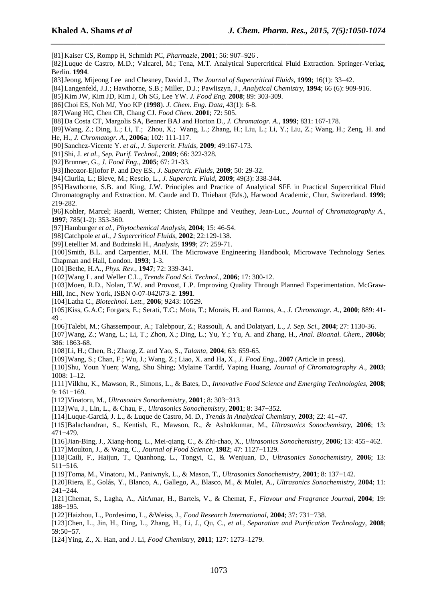[81]Kaiser CS, Rompp H, Schmidt PC, *Pharmazie*, **2001**; 56: 907–926 .

[82]Luque de Castro, M.D.; Valcarel, M.; Tena, M.T. Analytical Supercritical Fluid Extraction. Springer-Verlag, Berlin. **1994**.

*\_\_\_\_\_\_\_\_\_\_\_\_\_\_\_\_\_\_\_\_\_\_\_\_\_\_\_\_\_\_\_\_\_\_\_\_\_\_\_\_\_\_\_\_\_\_\_\_\_\_\_\_\_\_\_\_\_\_\_\_\_\_\_\_\_\_\_\_\_\_\_\_\_\_\_\_\_\_*

[83]Jeong, Mijeong Lee and Chesney, David J., *The Journal of Supercritical Fluids*, **1999**; 16(1): 33–42.

[84]Langenfeld, J.J.; Hawthorne, S.B.; Miller, D.J.; Pawliszyn, J., *Analytical Chemistry*, **1994**; 66 (6): 909-916.

[85]Kim JW, Kim JD, Kim J, Oh SG, Lee YW. *J. Food Eng.* **2008**; 89: 303-309.

- [86]Choi ES, Noh MJ, Yoo KP (**1998**). *J. Chem. Eng. Data*, 43(1): 6-8.
- [87]Wang HC, Chen CR, Chang CJ. *Food Chem.* **2001**; 72: 505.
- [88]Da Costa CT, Margolis SA, Benner BAJ and Horton D., *J. Chromatogr. A*., **1999**; 831: 167-178.

[89]Wang, Z.; Ding, L.; Li, T.; Zhou, X.; Wang, L.; Zhang, H.; Liu, L.; Li, Y.; Liu, Z.; Wang, H.; Zeng, H. and He, H., *J. Chromatogr. A*., **2006a**; 102: 111-117.

- [90]Sanchez-Vicente Y. *et al.*, *J. Supercrit. Fluids*, **2009**; 49:167-173.
- [91]Shi, J. *et al., Sep. Purif. Technol.*, **2009**; 66: 322-328.
- [92]Brunner, G., *J. Food Eng.*, **2005**; 67: 21-33.

[93]Iheozor-Ejiofor P. and Dey ES., *J. Supercrit. Fluids*, **2009**; 50: 29-32.

[94]Ciurlia, L.; Bleve, M.; Rescio, L., *J. Supercrit. Fluid*, **2009**; 49(3): 338-344.

[95]Hawthorne, S.B. and King, J.W. Principles and Practice of Analytical SFE in Practical Supercritical Fluid Chromatography and Extraction. M. Caude and D. Thiebaut (Eds.), Harwood Academic, Chur, Switzerland. **1999**; 219-282.

[96]Kohler, Marcel; Haerdi, Werner; Chisten, Philippe and Veuthey, Jean-Luc., *Journal of Chromatography A*., **1997**; 785(1-2): 353-360.

[97]Hamburger *et al., Phytochemical Analysis*, **2004**; 15: 46-54.

[98]Catchpole *et al., J Supercritical Fluids*, **2002**; 22:129-138.

[99]Letellier M. and Budzinski H., *Analysis*, **1999**; 27: 259-71.

[100]Smith, B.L. and Carpentier, M.H. The Microwave Engineering Handbook, Microwave Technology Series. Chapman and Hall, London. **1993**; 1-3.

[101]Bethe, H.A., *Phys. Rev.*, **1947**; 72: 339-341.

[102]Wang L. and Weller C.L., *Trends Food Sci. Technol.,* **2006**; 17: 300-12.

[103]Moen, R.D., Nolan, T.W. and Provost, L.P. Improving Quality Through Planned Experimentation. McGraw-Hill, Inc., New York, ISBN 0-07-042673-2. **1991**.

[104]Latha C., *Biotechnol. Lett.*, **2006**; 9243: 10529.

[105]Kiss, G.A.C; Forgacs, E.; Serati, T.C.; Mota, T.; Morais, H. and Ramos, A., *J. Chromatogr. A*., **2000**; 889: 41- 49 .

[106]Talebi, M.; Ghassempour, A.; Talebpour, Z.; Rassouli, A. and Dolatyari, L., *J. Sep. Sci.*, **2004**; 27: 1130-36.

[107]Wang, Z.; Wang, L.; Li, T.; Zhon, X.; Ding, L.; Yu, Y.; Yu, A. and Zhang, H., *Anal. Bioanal. Chem.*, **2006b**; 386: 1863-68.

[108]Li, H.; Chen, B.; Zhang, Z. and Yao, S., *Talanta*, **2004**; 63: 659-65.

[109]Wang, S.; Chan, F.; Wu, J.; Wang, Z.; Liao, X. and Ha, X., *J. Food Eng.*, **2007** (Article in press).

[110]Shu, Youn Yuen; Wang, Shu Shing; Mylaine Tardif, Yaping Huang, *Journal of Chromatography A*., **2003**; 1008: 1–12.

[111]Vilkhu, K., Mawson, R., Simons, L., & Bates, D., *Innovative Food Science and Emerging Technologies*, **2008**; 9: 161−169.

- [112]Vinatoru, M., *Ultrasonics Sonochemistry*, **2001**; 8: 303−313
- [113]Wu, J., Lin, L., & Chau, F., *Ultrasonics Sonochemistry*, **2001**; 8: 347−352.
- [114]Luque-Garciá, J. L., & Luque de Castro, M. D., *Trends in Analytical Chemistry*, **2003**; 22: 41−47.

[115]Balachandran, S., Kentish, E., Mawson, R., & Ashokkumar, M., *Ultrasonics Sonochemistry*, **2006**; 13: 471−479.

[116]Jian-Bing, J., Xiang-hong, L., Mei-qiang, C., & Zhi-chao, X., *Ultrasonics Sonochemistry*, **2006**; 13: 455−462.

[117]Moulton, J., & Wang, C., *Journal of Food Science*, **1982**; 47: 1127−1129.

[118]Caili, F., Haijun, T., Quanhong, L., Tongyi, C., & Wenjuan, D., *Ultrasonics Sonochemistry*, **2006**; 13: 511−516.

[119]Toma, M., Vinatoru, M., Paniwnyk, L., & Mason, T., *Ultrasonics Sonochemistry*, **2001**; 8: 137−142.

[120]Riera, E., Golás, Y., Blanco, A., Gallego, A., Blasco, M., & Mulet, A., *Ultrasonics Sonochemistry*, **2004**; 11: 241−244.

[121]Chemat, S., Lagha, A., AitAmar, H., Bartels, V., & Chemat, F., *Flavour and Fragrance Journal*, **2004**; 19: 188−195.

[122]Haizhou, L., Pordesimo, L., &Weiss, J., *Food Research International*, **2004**; 37: 731−738.

[123]Chen, L., Jin, H., Ding, L., Zhang, H., Li, J., Qu, C., *et al., Separation and Purification Technology*, **2008**; 59:50−57.

[124]Ying, Z., X. Han, and J. Li, *Food Chemistry*, **2011**; 127: 1273–1279.